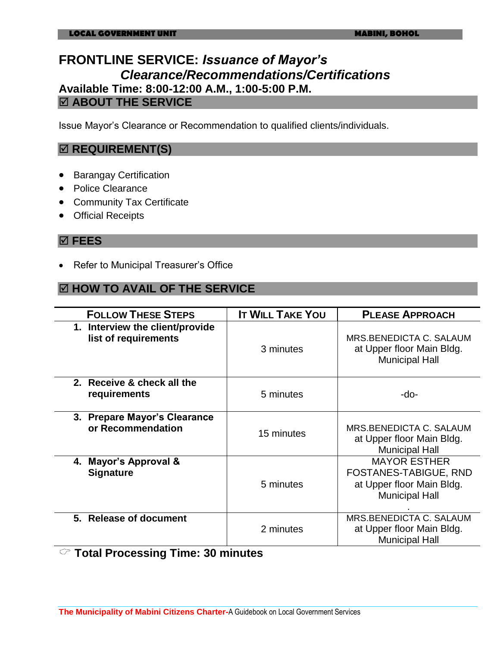### **FRONTLINE SERVICE:** *Issuance of Mayor's Clearance/Recommendations/Certifications* **Available Time: 8:00-12:00 A.M., 1:00-5:00 P.M. ABOUT THE SERVICE**

Issue Mayor's Clearance or Recommendation to qualified clients/individuals.

### $\boxtimes$  **REQUIREMENT(S)**

- **•** Barangay Certification
- Police Clearance
- Community Tax Certificate
- Official Receipts

#### **FEES**

• Refer to Municipal Treasurer's Office

### **HOW TO AVAIL OF THE SERVICE**

| <b>FOLLOW THESE STEPS</b>                                                        | <b>IT WILL TAKE YOU</b> | <b>PLEASE APPROACH</b>                                                                                    |
|----------------------------------------------------------------------------------|-------------------------|-----------------------------------------------------------------------------------------------------------|
| 1. Interview the client/provide<br>list of requirements                          | 3 minutes               | MRS.BENEDICTA C. SALAUM<br>at Upper floor Main Bldg.<br><b>Municipal Hall</b>                             |
| 2. Receive & check all the<br>requirements                                       | 5 minutes               | -do-                                                                                                      |
| 3. Prepare Mayor's Clearance<br>or Recommendation                                | 15 minutes              | MRS.BENEDICTA C. SALAUM<br>at Upper floor Main Bldg.<br><b>Municipal Hall</b>                             |
| 4. Mayor's Approval &<br><b>Signature</b>                                        | 5 minutes               | <b>MAYOR ESTHER</b><br><b>FOSTANES-TABIGUE, RND</b><br>at Upper floor Main Bldg.<br><b>Municipal Hall</b> |
| 5. Release of document<br>$\curvearrowright$ Tatal Dragosaing Time: $20$ minutes | 2 minutes               | <b>MRS.BENEDICTA C. SALAUM</b><br>at Upper floor Main Bldg.<br><b>Municipal Hall</b>                      |

 $\vee$  Total Processing Time: 30 minutes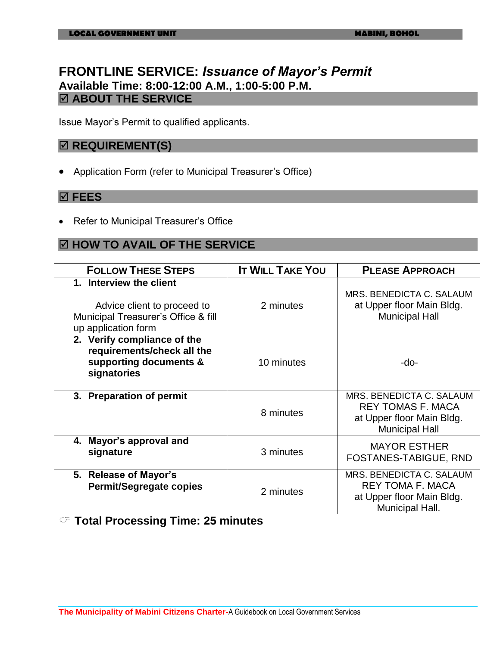### **FRONTLINE SERVICE:** *Issuance of Mayor's Permit*  **Available Time: 8:00-12:00 A.M., 1:00-5:00 P.M. ABOUT THE SERVICE**

Issue Mayor's Permit to qualified applicants.

### $⊓$  **REQUIREMENT(S)**

Application Form (refer to Municipal Treasurer's Office)

#### **FEES**

Refer to Municipal Treasurer's Office

#### **HOW TO AVAIL OF THE SERVICE**

| <b>FOLLOW THESE STEPS</b>                                                                                            | <b>IT WILL TAKE YOU</b> | <b>PLEASE APPROACH</b>                                                                                     |
|----------------------------------------------------------------------------------------------------------------------|-------------------------|------------------------------------------------------------------------------------------------------------|
| 1. Interview the client<br>Advice client to proceed to<br>Municipal Treasurer's Office & fill<br>up application form | 2 minutes               | MRS. BENEDICTA C. SALAUM<br>at Upper floor Main Bldg.<br><b>Municipal Hall</b>                             |
| 2. Verify compliance of the<br>requirements/check all the<br>supporting documents &<br>signatories                   | 10 minutes              | -do-                                                                                                       |
| 3. Preparation of permit                                                                                             | 8 minutes               | MRS. BENEDICTA C. SALAUM<br><b>REY TOMAS F. MACA</b><br>at Upper floor Main Bldg.<br><b>Municipal Hall</b> |
| 4. Mayor's approval and<br>signature                                                                                 | 3 minutes               | <b>MAYOR ESTHER</b><br><b>FOSTANES-TABIGUE, RND</b>                                                        |
| 5. Release of Mayor's<br><b>Permit/Segregate copies</b>                                                              | 2 minutes               | MRS. BENEDICTA C. SALAUM<br><b>REY TOMA F. MACA</b><br>at Upper floor Main Bldg.<br>Municipal Hall.        |

**Total Processing Time: 25 minutes**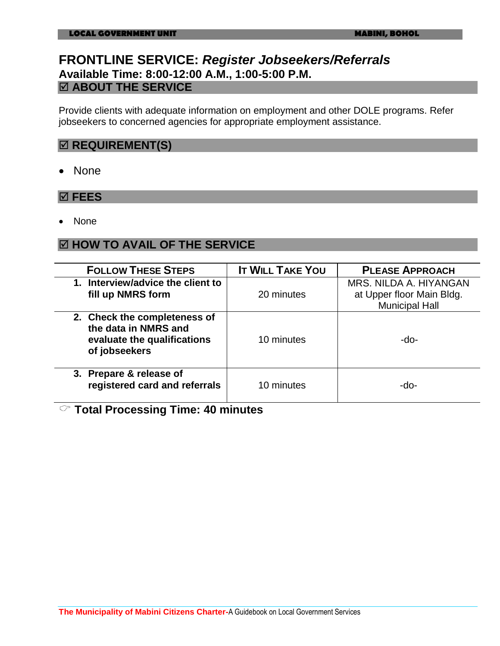### **FRONTLINE SERVICE:** *Register Jobseekers/Referrals* **Available Time: 8:00-12:00 A.M., 1:00-5:00 P.M. ABOUT THE SERVICE**

Provide clients with adequate information on employment and other DOLE programs. Refer jobseekers to concerned agencies for appropriate employment assistance.

#### $⊓$  **REQUIREMENT(S)**

• None

#### **FEES**

None

#### **HOW TO AVAIL OF THE SERVICE**

| <b>FOLLOW THESE STEPS</b>                                                                            | <b>IT WILL TAKE YOU</b> | <b>PLEASE APPROACH</b>                                                       |
|------------------------------------------------------------------------------------------------------|-------------------------|------------------------------------------------------------------------------|
| 1. Interview/advice the client to<br>fill up NMRS form                                               | 20 minutes              | MRS. NILDA A. HIYANGAN<br>at Upper floor Main Bldg.<br><b>Municipal Hall</b> |
| 2. Check the completeness of<br>the data in NMRS and<br>evaluate the qualifications<br>of jobseekers | 10 minutes              | -do-                                                                         |
| 3. Prepare & release of<br>registered card and referrals                                             | 10 minutes              | -do-                                                                         |

**Total Processing Time: 40 minutes**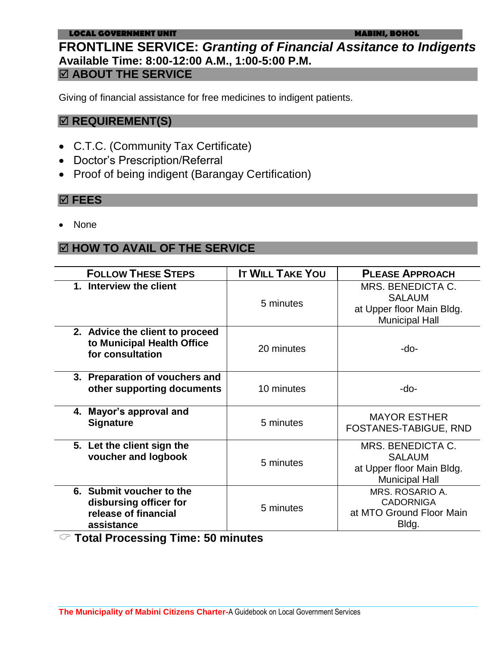#### **LOCAL GOVERNMENT UNIT MABINI, BOHOL**

### **FRONTLINE SERVICE:** *Granting of Financial Assitance to Indigents* **Available Time: 8:00-12:00 A.M., 1:00-5:00 P.M. ABOUT THE SERVICE**

Giving of financial assistance for free medicines to indigent patients.

### **REQUIREMENT(S)**

- C.T.C. (Community Tax Certificate)
- Doctor's Prescription/Referral
- Proof of being indigent (Barangay Certification)

#### **FEES**

None

### **HOW TO AVAIL OF THE SERVICE**

| <b>FOLLOW THESE STEPS</b>                                                                | <b>IT WILL TAKE YOU</b> | <b>PLEASE APPROACH</b>                                                                          |
|------------------------------------------------------------------------------------------|-------------------------|-------------------------------------------------------------------------------------------------|
| 1. Interview the client                                                                  | 5 minutes               | <b>MRS. BENEDICTA C.</b><br><b>SALAUM</b><br>at Upper floor Main Bldg.<br><b>Municipal Hall</b> |
| 2. Advice the client to proceed<br>to Municipal Health Office<br>for consultation        | 20 minutes              | -do-                                                                                            |
| 3. Preparation of vouchers and<br>other supporting documents                             | 10 minutes              | -do-                                                                                            |
| 4. Mayor's approval and<br><b>Signature</b>                                              | 5 minutes               | <b>MAYOR ESTHER</b><br><b>FOSTANES-TABIGUE, RND</b>                                             |
| 5. Let the client sign the<br>voucher and logbook                                        | 5 minutes               | MRS. BENEDICTA C.<br><b>SALAUM</b><br>at Upper floor Main Bldg.<br><b>Municipal Hall</b>        |
| 6. Submit voucher to the<br>disbursing officer for<br>release of financial<br>assistance | 5 minutes               | MRS. ROSARIO A.<br><b>CADORNIGA</b><br>at MTO Ground Floor Main<br>Bldg.                        |

**Total Processing Time: 50 minutes**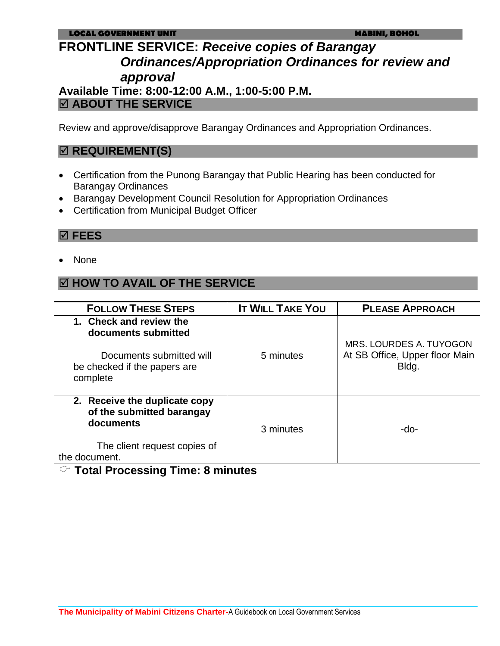## **FRONTLINE SERVICE:** *Receive copies of Barangay Ordinances/Appropriation Ordinances for review and approval* **Available Time: 8:00-12:00 A.M., 1:00-5:00 P.M.**

### **ABOUT THE SERVICE**

Review and approve/disapprove Barangay Ordinances and Appropriation Ordinances.

### $⊓$  **REQUIREMENT(S)**

- Certification from the Punong Barangay that Public Hearing has been conducted for Barangay Ordinances
- Barangay Development Council Resolution for Appropriation Ordinances
- Certification from Municipal Budget Officer

#### **FEES**

None

### **HOW TO AVAIL OF THE SERVICE**

| <b>FOLLOW THESE STEPS</b>                                                  | <b>IT WILL TAKE YOU</b> | <b>PLEASE APPROACH</b>                                    |
|----------------------------------------------------------------------------|-------------------------|-----------------------------------------------------------|
| 1. Check and review the<br>documents submitted<br>Documents submitted will | 5 minutes               | MRS. LOURDES A. TUYOGON<br>At SB Office, Upper floor Main |
| be checked if the papers are<br>complete                                   |                         | Bldg.                                                     |
| 2. Receive the duplicate copy<br>of the submitted barangay<br>documents    | 3 minutes               | -do-                                                      |
| The client request copies of<br>the document.                              |                         |                                                           |

### **Total Processing Time: 8 minutes**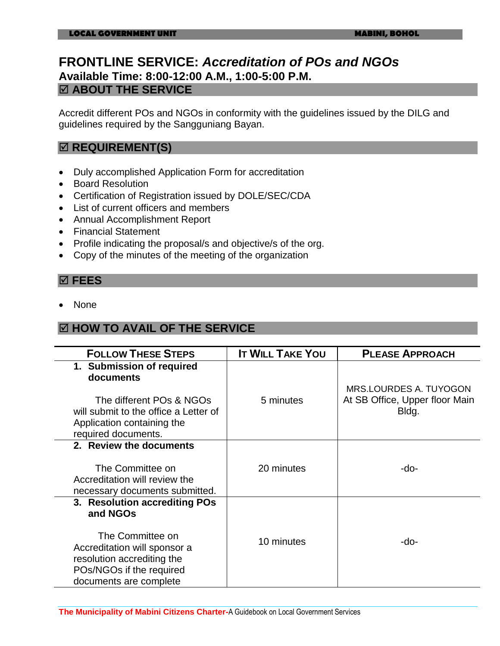### **FRONTLINE SERVICE:** *Accreditation of POs and NGOs*  **Available Time: 8:00-12:00 A.M., 1:00-5:00 P.M. ABOUT THE SERVICE**

Accredit different POs and NGOs in conformity with the guidelines issued by the DILG and guidelines required by the Sangguniang Bayan.

### $⊓$  **REQUIREMENT(S)**

- Duly accomplished Application Form for accreditation
- Board Resolution
- Certification of Registration issued by DOLE/SEC/CDA
- List of current officers and members
- Annual Accomplishment Report
- Financial Statement
- Profile indicating the proposal/s and objective/s of the org.
- Copy of the minutes of the meeting of the organization

### **FEES**

None

### **HOW TO AVAIL OF THE SERVICE**

| <b>FOLLOW THESE STEPS</b>                                                                                                            | <b>IT WILL TAKE YOU</b> | <b>PLEASE APPROACH</b>                  |
|--------------------------------------------------------------------------------------------------------------------------------------|-------------------------|-----------------------------------------|
| 1. Submission of required<br>documents                                                                                               |                         | MRS.LOURDES A. TUYOGON                  |
| The different POs & NGOs<br>will submit to the office a Letter of<br>Application containing the<br>required documents.               | 5 minutes               | At SB Office, Upper floor Main<br>Bldg. |
| 2. Review the documents                                                                                                              |                         |                                         |
| The Committee on<br>Accreditation will review the<br>necessary documents submitted.                                                  | 20 minutes              | -do-                                    |
| 3. Resolution accrediting POs<br>and NGOs                                                                                            |                         |                                         |
| The Committee on<br>Accreditation will sponsor a<br>resolution accrediting the<br>POs/NGOs if the required<br>documents are complete | 10 minutes              | -do-                                    |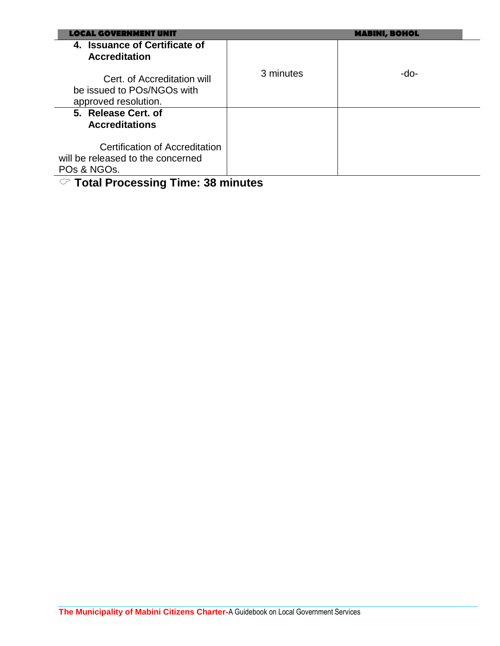| AL GOVERNMENT IINIT                                                               |           | <b>MABINI, BOHOL</b> |
|-----------------------------------------------------------------------------------|-----------|----------------------|
| 4. Issuance of Certificate of<br><b>Accreditation</b>                             |           |                      |
| Cert. of Accreditation will<br>be issued to POs/NGOs with<br>approved resolution. | 3 minutes | -do-                 |
| 5. Release Cert. of                                                               |           |                      |
| <b>Accreditations</b>                                                             |           |                      |
| Certification of Accreditation                                                    |           |                      |
| will be released to the concerned                                                 |           |                      |
| POs & NGOs.                                                                       |           |                      |
| $\heartsuit$ Total Processing Time: 38 minutes                                    |           |                      |

### **The Municipality of Mabini Citizens Charter-**A Guidebook on Local Government Services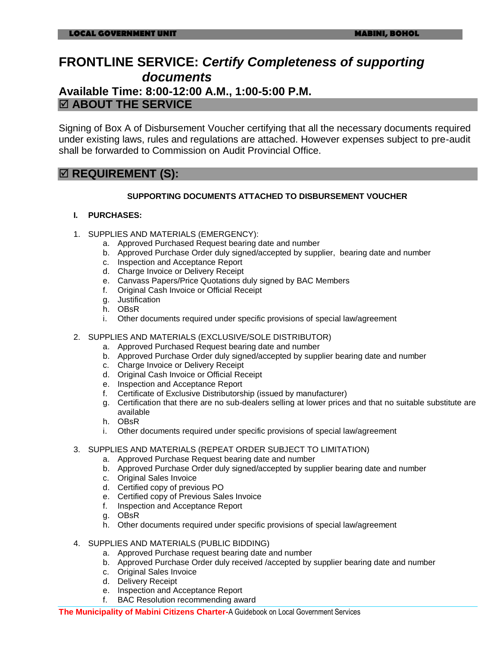### **FRONTLINE SERVICE:** *Certify Completeness of supporting documents* **Available Time: 8:00-12:00 A.M., 1:00-5:00 P.M. ABOUT THE SERVICE**

Signing of Box A of Disbursement Voucher certifying that all the necessary documents required under existing laws, rules and regulations are attached. However expenses subject to pre-audit shall be forwarded to Commission on Audit Provincial Office.

### $⊓$  **REQUIREMENT (S):**

#### **SUPPORTING DOCUMENTS ATTACHED TO DISBURSEMENT VOUCHER**

#### **I. PURCHASES:**

- 1. SUPPLIES AND MATERIALS (EMERGENCY):
	- a. Approved Purchased Request bearing date and number
	- b. Approved Purchase Order duly signed/accepted by supplier, bearing date and number
	- c. Inspection and Acceptance Report
	- d. Charge Invoice or Delivery Receipt
	- e. Canvass Papers/Price Quotations duly signed by BAC Members
	- f. Original Cash Invoice or Official Receipt
	- g. Justification
	- h. OBsR
	- i. Other documents required under specific provisions of special law/agreement
- 2. SUPPLIES AND MATERIALS (EXCLUSIVE/SOLE DISTRIBUTOR)
	- a. Approved Purchased Request bearing date and number
	- b. Approved Purchase Order duly signed/accepted by supplier bearing date and number
	- c. Charge Invoice or Delivery Receipt
	- d. Original Cash Invoice or Official Receipt
	- e. Inspection and Acceptance Report
	- f. Certificate of Exclusive Distributorship (issued by manufacturer)
	- g. Certification that there are no sub-dealers selling at lower prices and that no suitable substitute are available
	- h. OBsR
	- i. Other documents required under specific provisions of special law/agreement
- 3. SUPPLIES AND MATERIALS (REPEAT ORDER SUBJECT TO LIMITATION)
	- a. Approved Purchase Request bearing date and number
	- b. Approved Purchase Order duly signed/accepted by supplier bearing date and number
	- c. Original Sales Invoice
	- d. Certified copy of previous PO
	- e. Certified copy of Previous Sales Invoice
	- f. Inspection and Acceptance Report
	- g. OBsR
	- h. Other documents required under specific provisions of special law/agreement
- 4. SUPPLIES AND MATERIALS (PUBLIC BIDDING)
	- a. Approved Purchase request bearing date and number
	- b. Approved Purchase Order duly received /accepted by supplier bearing date and number
	- c. Original Sales Invoice
	- d. Delivery Receipt
	- e. Inspection and Acceptance Report
	- f. BAC Resolution recommending award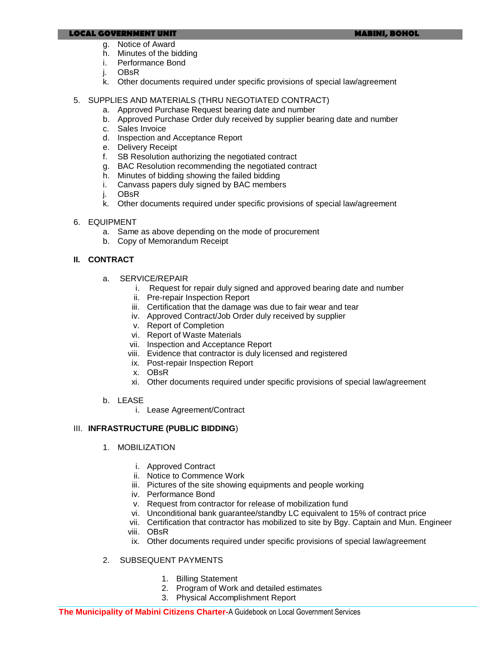#### **LOCAL GOVERNMENT UNIT MABINI, BOHOL**

- g. Notice of Award
- h. Minutes of the bidding
- i. Performance Bond
- j. OBsR
- k. Other documents required under specific provisions of special law/agreement
- 5. SUPPLIES AND MATERIALS (THRU NEGOTIATED CONTRACT)
	- a. Approved Purchase Request bearing date and number
	- b. Approved Purchase Order duly received by supplier bearing date and number
	- c. Sales Invoice
	- d. Inspection and Acceptance Report
	- e. Delivery Receipt
	- f. SB Resolution authorizing the negotiated contract
	- g. BAC Resolution recommending the negotiated contract
	- h. Minutes of bidding showing the failed bidding
	- i. Canvass papers duly signed by BAC members
	- j. OBsR
	- k. Other documents required under specific provisions of special law/agreement
- 6. EQUIPMENT
	- a. Same as above depending on the mode of procurement
	- b. Copy of Memorandum Receipt

#### **II. CONTRACT**

- a. SERVICE/REPAIR
	- i. Request for repair duly signed and approved bearing date and number
	- ii. Pre-repair Inspection Report
	- iii. Certification that the damage was due to fair wear and tear
	- iv. Approved Contract/Job Order duly received by supplier
	- v. Report of Completion
	- vi. Report of Waste Materials
	- vii. Inspection and Acceptance Report
	- viii. Evidence that contractor is duly licensed and registered
	- ix. Post-repair Inspection Report
	- x. OBsR
	- xi. Other documents required under specific provisions of special law/agreement
- b. LEASE
	- i. Lease Agreement/Contract

#### III. **INFRASTRUCTURE (PUBLIC BIDDING**)

- 1. MOBILIZATION
	- i. Approved Contract
	- ii. Notice to Commence Work
	- iii. Pictures of the site showing equipments and people working
	- iv. Performance Bond
	- v. Request from contractor for release of mobilization fund
	- vi. Unconditional bank guarantee/standby LC equivalent to 15% of contract price
	- vii. Certification that contractor has mobilized to site by Bgy. Captain and Mun. Engineer
	- viii. OBsR
	- ix. Other documents required under specific provisions of special law/agreement
- 2. SUBSEQUENT PAYMENTS
	- 1. Billing Statement
	- 2. Program of Work and detailed estimates
	- 3. Physical Accomplishment Report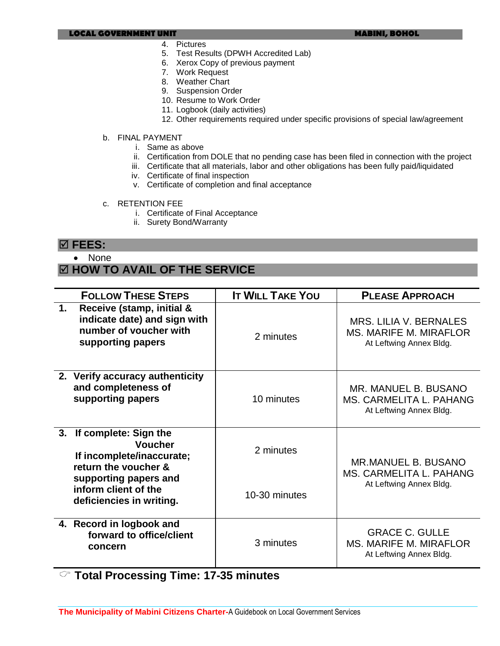#### **LOCAL GOVERNMENT UNIT MABINI, BOHOL**

- 4. Pictures
- 5. Test Results (DPWH Accredited Lab)
- 6. Xerox Copy of previous payment
- 7. Work Request
- 8. Weather Chart
- 9. Suspension Order
- 10. Resume to Work Order
- 11. Logbook (daily activities)
- 12. Other requirements required under specific provisions of special law/agreement
- b. FINAL PAYMENT
	- i. Same as above
	- ii. Certification from DOLE that no pending case has been filed in connection with the project
	- iii. Certificate that all materials, labor and other obligations has been fully paid/liquidated
	- iv. Certificate of final inspection
	- v. Certificate of completion and final acceptance
- c. RETENTION FEE
	- i. Certificate of Final Acceptance
	- ii. Surety Bond/Warranty

#### **FEES:**

• None

### **HOW TO AVAIL OF THE SERVICE**

|    | <b>FOLLOW THESE STEPS</b>                                                                                | <b>IT WILL TAKE YOU</b> | <b>PLEASE APPROACH</b>                                                             |
|----|----------------------------------------------------------------------------------------------------------|-------------------------|------------------------------------------------------------------------------------|
| 1. | Receive (stamp, initial &<br>indicate date) and sign with<br>number of voucher with<br>supporting papers | 2 minutes               | MRS. LILIA V. BERNALES<br><b>MS. MARIFE M. MIRAFLOR</b><br>At Leftwing Annex Bldg. |
|    | 2. Verify accuracy authenticity<br>and completeness of<br>supporting papers                              | 10 minutes              | MR. MANUEL B. BUSANO<br>MS. CARMELITA L. PAHANG<br>At Leftwing Annex Bldg.         |
| 3. | If complete: Sign the<br><b>Voucher</b><br>If incomplete/inaccurate;<br>return the voucher &             | 2 minutes               | <b>MR.MANUEL B. BUSANO</b><br>MS. CARMELITA L. PAHANG<br>At Leftwing Annex Bldg.   |
|    | supporting papers and<br>inform client of the<br>deficiencies in writing.                                | 10-30 minutes           |                                                                                    |
|    | 4. Record in logbook and<br>forward to office/client<br>concern                                          | 3 minutes               | <b>GRACE C. GULLE</b><br><b>MS. MARIFE M. MIRAFLOR</b><br>At Leftwing Annex Bldg.  |

**Total Processing Time: 17-35 minutes**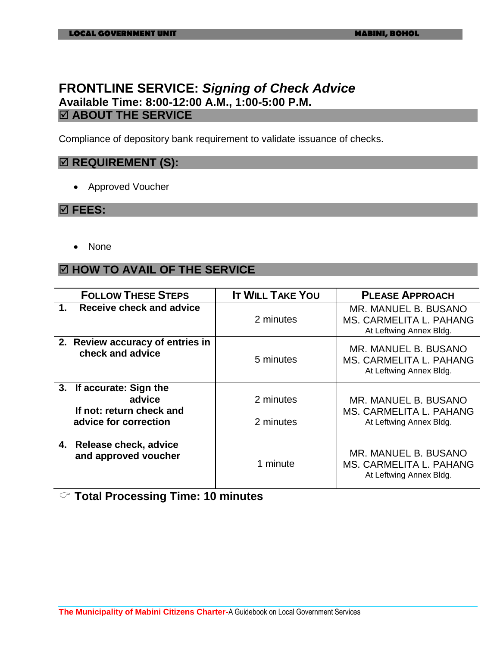### **FRONTLINE SERVICE:** *Signing of Check Advice* **Available Time: 8:00-12:00 A.M., 1:00-5:00 P.M. ABOUT THE SERVICE**

Compliance of depository bank requirement to validate issuance of checks.

### $\boxtimes$  **REQUIREMENT (S):**

Approved Voucher

#### **FEES:**

• None

#### **HOW TO AVAIL OF THE SERVICE**

| <b>FOLLOW THESE STEPS</b>                                                               | <b>IT WILL TAKE YOU</b> | <b>PLEASE APPROACH</b>                                                     |
|-----------------------------------------------------------------------------------------|-------------------------|----------------------------------------------------------------------------|
| Receive check and advice<br>1.                                                          | 2 minutes               | MR. MANUEL B. BUSANO<br>MS. CARMELITA L. PAHANG<br>At Leftwing Annex Bldg. |
| 2. Review accuracy of entries in<br>check and advice                                    | 5 minutes               | MR. MANUEL B. BUSANO<br>MS. CARMELITA L. PAHANG<br>At Leftwing Annex Bldg. |
| 3. If accurate: Sign the<br>advice<br>If not: return check and<br>advice for correction | 2 minutes<br>2 minutes  | MR. MANUEL B. BUSANO<br>MS. CARMELITA L. PAHANG<br>At Leftwing Annex Bldg. |
| 4. Release check, advice<br>and approved voucher                                        | 1 minute                | MR. MANUEL B. BUSANO<br>MS. CARMELITA L. PAHANG<br>At Leftwing Annex Bldg. |

**Total Processing Time: 10 minutes**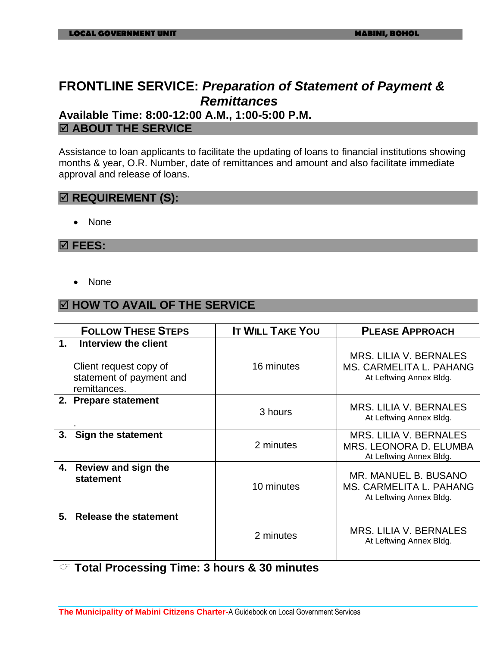# **FRONTLINE SERVICE:** *Preparation of Statement of Payment & Remittances*

**Available Time: 8:00-12:00 A.M., 1:00-5:00 P.M. ABOUT THE SERVICE**

Assistance to loan applicants to facilitate the updating of loans to financial institutions showing months & year, O.R. Number, date of remittances and amount and also facilitate immediate approval and release of loans.

### $\boxtimes$  **REQUIREMENT (S):**

• None

#### **FEES:**

• None

### **HOW TO AVAIL OF THE SERVICE**

|    | <b>FOLLOW THESE STEPS</b>                                                                  | <b>IT WILL TAKE YOU</b> | <b>PLEASE APPROACH</b>                                                              |
|----|--------------------------------------------------------------------------------------------|-------------------------|-------------------------------------------------------------------------------------|
|    | Interview the client<br>Client request copy of<br>statement of payment and<br>remittances. | 16 minutes              | <b>MRS. LILIA V. BERNALES</b><br>MS. CARMELITA L. PAHANG<br>At Leftwing Annex Bldg. |
|    | 2. Prepare statement                                                                       | 3 hours                 | <b>MRS. LILIA V. BERNALES</b><br>At Leftwing Annex Bldg.                            |
| 3. | Sign the statement                                                                         | 2 minutes               | <b>MRS. LILIA V. BERNALES</b><br>MRS. LEONORA D. ELUMBA<br>At Leftwing Annex Bldg.  |
| 4. | <b>Review and sign the</b><br>statement                                                    | 10 minutes              | MR. MANUEL B. BUSANO<br>MS. CARMELITA L. PAHANG<br>At Leftwing Annex Bldg.          |
| 5. | <b>Release the statement</b>                                                               | 2 minutes               | <b>MRS. LILIA V. BERNALES</b><br>At Leftwing Annex Bldg.                            |

**Total Processing Time: 3 hours & 30 minutes**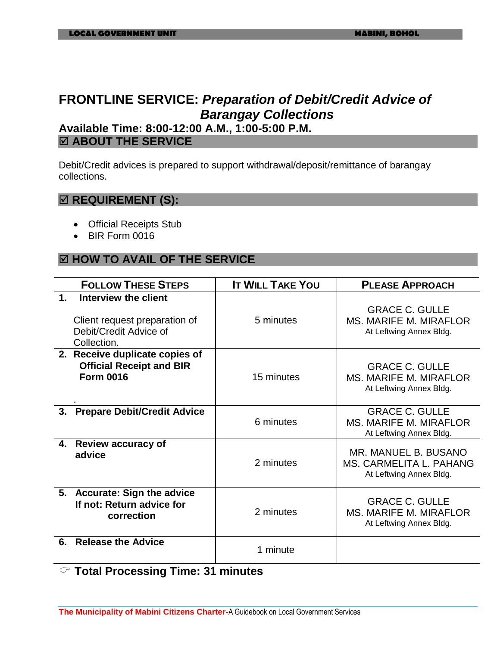# **FRONTLINE SERVICE:** *Preparation of Debit/Credit Advice of Barangay Collections*

### **Available Time: 8:00-12:00 A.M., 1:00-5:00 P.M. ABOUT THE SERVICE**

Debit/Credit advices is prepared to support withdrawal/deposit/remittance of barangay collections.

### $\boxtimes$  **REQUIREMENT (S):**

- Official Receipts Stub
- BIR Form 0016

### **HOW TO AVAIL OF THE SERVICE**

| <b>FOLLOW THESE STEPS</b>                                                                                       | <b>IT WILL TAKE YOU</b> | <b>PLEASE APPROACH</b>                                                            |
|-----------------------------------------------------------------------------------------------------------------|-------------------------|-----------------------------------------------------------------------------------|
| $\mathbf 1$ .<br>Interview the client<br>Client request preparation of<br>Debit/Credit Advice of<br>Collection. | 5 minutes               | <b>GRACE C. GULLE</b><br><b>MS. MARIFE M. MIRAFLOR</b><br>At Leftwing Annex Bldg. |
| 2. Receive duplicate copies of<br><b>Official Receipt and BIR</b><br><b>Form 0016</b>                           | 15 minutes              | <b>GRACE C. GULLE</b><br><b>MS. MARIFE M. MIRAFLOR</b><br>At Leftwing Annex Bldg. |
| <b>Prepare Debit/Credit Advice</b><br>3.                                                                        | 6 minutes               | <b>GRACE C. GULLE</b><br><b>MS. MARIFE M. MIRAFLOR</b><br>At Leftwing Annex Bldg. |
| <b>Review accuracy of</b><br>4.<br>advice                                                                       | 2 minutes               | MR. MANUEL B. BUSANO<br>MS. CARMELITA L. PAHANG<br>At Leftwing Annex Bldg.        |
| 5. Accurate: Sign the advice<br>If not: Return advice for<br>correction                                         | 2 minutes               | <b>GRACE C. GULLE</b><br><b>MS. MARIFE M. MIRAFLOR</b><br>At Leftwing Annex Bldg. |
| <b>Release the Advice</b><br>6.                                                                                 | 1 minute                |                                                                                   |

**Total Processing Time: 31 minutes**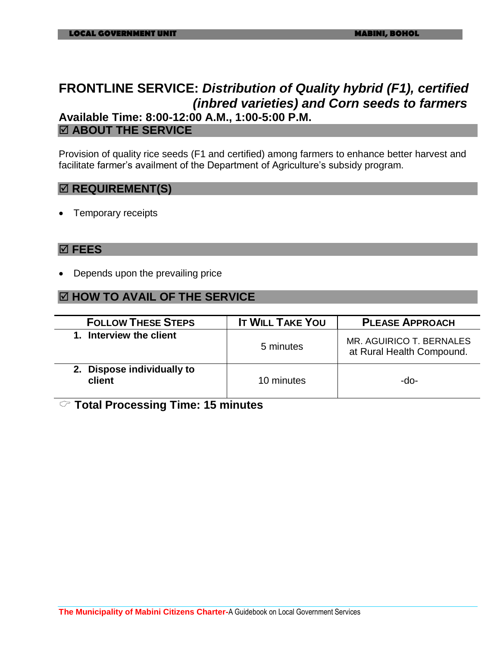# **FRONTLINE SERVICE:** *Distribution of Quality hybrid (F1), certified (inbred varieties) and Corn seeds to farmers*  **Available Time: 8:00-12:00 A.M., 1:00-5:00 P.M.**

#### **ABOUT THE SERVICE**

Provision of quality rice seeds (F1 and certified) among farmers to enhance better harvest and facilitate farmer's availment of the Department of Agriculture's subsidy program.

#### **<b>** $⊠$  **REQUIREMENT(S)**

Temporary receipts

#### **FEES**

Depends upon the prevailing price

### **HOW TO AVAIL OF THE SERVICE**

| <b>FOLLOW THESE STEPS</b>            | <b>IT WILL TAKE YOU</b> | <b>PLEASE APPROACH</b>                                |
|--------------------------------------|-------------------------|-------------------------------------------------------|
| 1. Interview the client              | 5 minutes               | MR. AGUIRICO T. BERNALES<br>at Rural Health Compound. |
| 2. Dispose individually to<br>client | 10 minutes              | -do-                                                  |

**Total Processing Time: 15 minutes**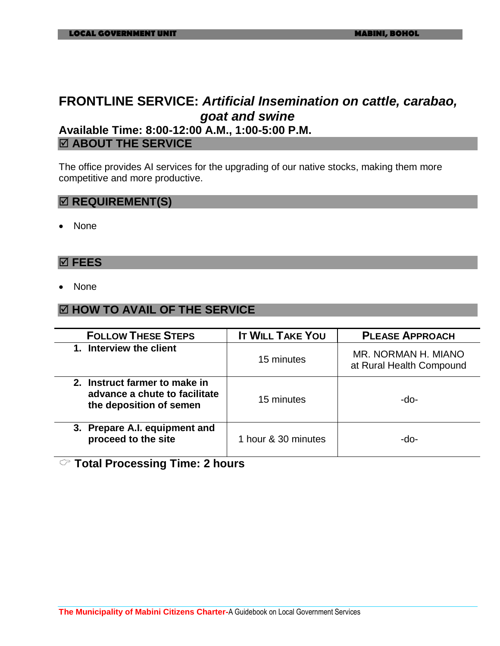# **FRONTLINE SERVICE:** *Artificial Insemination on cattle, carabao, goat and swine*

### **Available Time: 8:00-12:00 A.M., 1:00-5:00 P.M. ABOUT THE SERVICE**

The office provides AI services for the upgrading of our native stocks, making them more competitive and more productive.

#### $⊓$  **REQUIREMENT(S)**

None

#### **FEES**

None

#### **HOW TO AVAIL OF THE SERVICE**

| <b>FOLLOW THESE STEPS</b>                                                                 | <b>IT WILL TAKE YOU</b> | <b>PLEASE APPROACH</b>                          |
|-------------------------------------------------------------------------------------------|-------------------------|-------------------------------------------------|
| 1. Interview the client                                                                   | 15 minutes              | MR. NORMAN H. MIANO<br>at Rural Health Compound |
| 2. Instruct farmer to make in<br>advance a chute to facilitate<br>the deposition of semen | 15 minutes              | -do-                                            |
| 3. Prepare A.I. equipment and<br>proceed to the site                                      | 1 hour & 30 minutes     | -do-                                            |

### **Total Processing Time: 2 hours**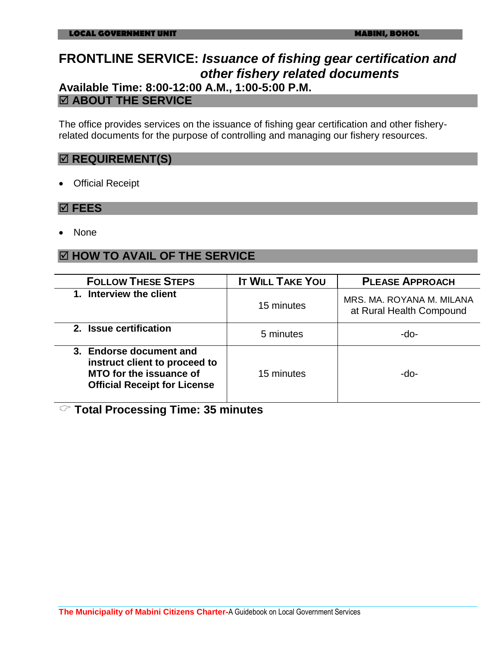# **FRONTLINE SERVICE:** *Issuance of fishing gear certification and other fishery related documents*

### **Available Time: 8:00-12:00 A.M., 1:00-5:00 P.M. ABOUT THE SERVICE**

The office provides services on the issuance of fishing gear certification and other fisheryrelated documents for the purpose of controlling and managing our fishery resources.

### $⊠$  **REQUIREMENT(S)**

Official Receipt

#### **FEES**

None

### **HOW TO AVAIL OF THE SERVICE**

| <b>FOLLOW THESE STEPS</b>                                                                                                  | <b>IT WILL TAKE YOU</b> | <b>PLEASE APPROACH</b>                                |
|----------------------------------------------------------------------------------------------------------------------------|-------------------------|-------------------------------------------------------|
| 1. Interview the client                                                                                                    | 15 minutes              | MRS. MA. ROYANA M. MILANA<br>at Rural Health Compound |
| 2. Issue certification                                                                                                     | 5 minutes               | -do-                                                  |
| 3. Endorse document and<br>instruct client to proceed to<br>MTO for the issuance of<br><b>Official Receipt for License</b> | 15 minutes              | -do-                                                  |

**Total Processing Time: 35 minutes**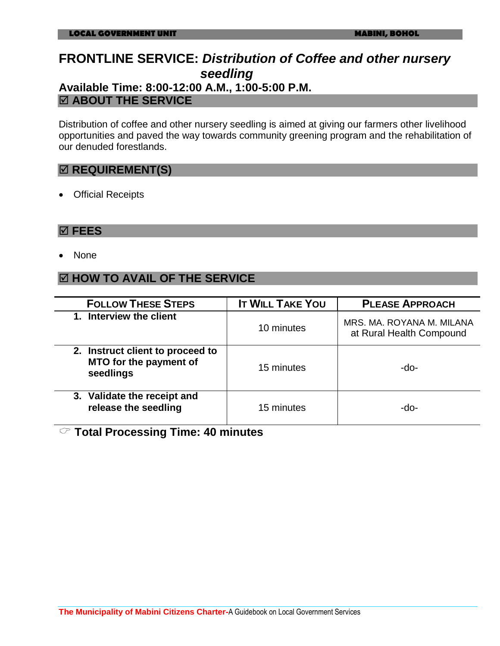# **FRONTLINE SERVICE:** *Distribution of Coffee and other nursery seedling*

### **Available Time: 8:00-12:00 A.M., 1:00-5:00 P.M. ABOUT THE SERVICE**

Distribution of coffee and other nursery seedling is aimed at giving our farmers other livelihood opportunities and paved the way towards community greening program and the rehabilitation of our denuded forestlands.

### **REQUIREMENT(S)**

• Official Receipts

#### **FEES**

• None

### **HOW TO AVAIL OF THE SERVICE**

| <b>FOLLOW THESE STEPS</b>                                               | <b>IT WILL TAKE YOU</b> | <b>PLEASE APPROACH</b>                                |
|-------------------------------------------------------------------------|-------------------------|-------------------------------------------------------|
| 1. Interview the client                                                 | 10 minutes              | MRS. MA. ROYANA M. MILANA<br>at Rural Health Compound |
| 2. Instruct client to proceed to<br>MTO for the payment of<br>seedlings | 15 minutes              | -do-                                                  |
| 3. Validate the receipt and<br>release the seedling                     | 15 minutes              | -do-                                                  |

**Total Processing Time: 40 minutes**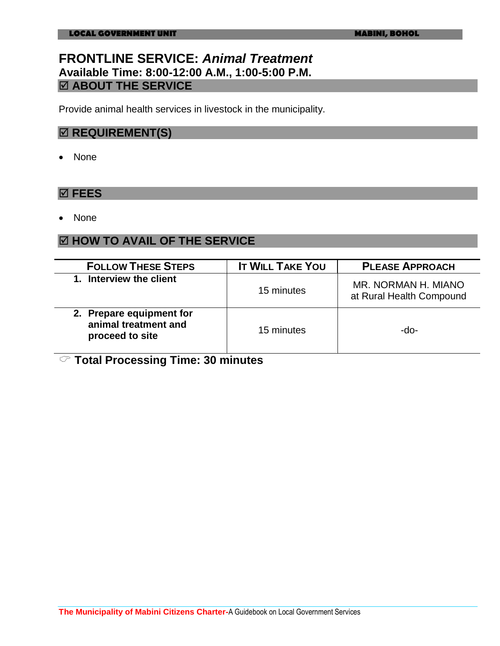### **FRONTLINE SERVICE:** *Animal Treatment* **Available Time: 8:00-12:00 A.M., 1:00-5:00 P.M. ABOUT THE SERVICE**

Provide animal health services in livestock in the municipality.

### $\boxtimes$  **REQUIREMENT(S)**

• None

#### **FEES**

None

#### **HOW TO AVAIL OF THE SERVICE**

| <b>FOLLOW THESE STEPS</b>                                           | <b>IT WILL TAKE YOU</b> | <b>PLEASE APPROACH</b>                          |
|---------------------------------------------------------------------|-------------------------|-------------------------------------------------|
| 1. Interview the client                                             | 15 minutes              | MR. NORMAN H. MIANO<br>at Rural Health Compound |
| 2. Prepare equipment for<br>animal treatment and<br>proceed to site | 15 minutes              | -do-                                            |

**Total Processing Time: 30 minutes**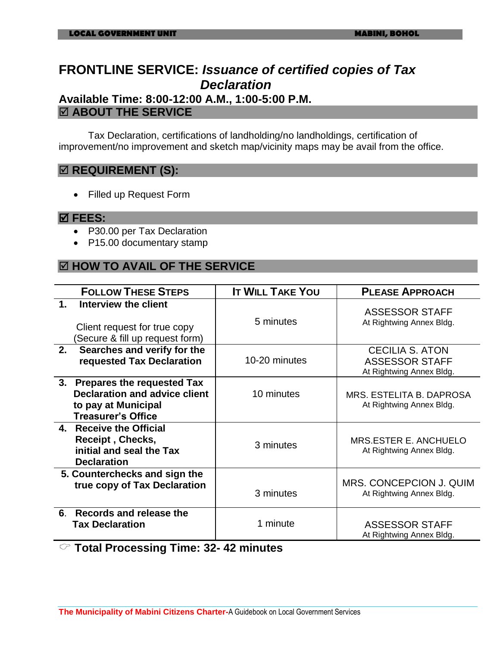# **FRONTLINE SERVICE:** *Issuance of certified copies of Tax Declaration*

**Available Time: 8:00-12:00 A.M., 1:00-5:00 P.M. ABOUT THE SERVICE**

Tax Declaration, certifications of landholding/no landholdings, certification of improvement/no improvement and sketch map/vicinity maps may be avail from the office.

#### $\boxtimes$  **REQUIREMENT (S):**

Filled up Request Form

#### **FEES:**

- P30.00 per Tax Declaration
- P15.00 documentary stamp

### **HOW TO AVAIL OF THE SERVICE**

| <b>FOLLOW THESE STEPS</b>                                                                                                           | <b>IT WILL TAKE YOU</b> | <b>PLEASE APPROACH</b>                                                      |
|-------------------------------------------------------------------------------------------------------------------------------------|-------------------------|-----------------------------------------------------------------------------|
| $\mathbf{1}$ .<br>Interview the client<br>Client request for true copy<br>Secure & fill up request form)                            | 5 minutes               | <b>ASSESSOR STAFF</b><br>At Rightwing Annex Bldg.                           |
| 2.<br>Searches and verify for the<br>requested Tax Declaration                                                                      | 10-20 minutes           | <b>CECILIA S. ATON</b><br><b>ASSESSOR STAFF</b><br>At Rightwing Annex Bldg. |
| 3.<br><b>Prepares the requested Tax</b><br><b>Declaration and advice client</b><br>to pay at Municipal<br><b>Treasurer's Office</b> | 10 minutes              | MRS. ESTELITA B. DAPROSA<br>At Rightwing Annex Bldg.                        |
| 4. Receive the Official<br>Receipt, Checks,<br>initial and seal the Tax<br><b>Declaration</b>                                       | 3 minutes               | MRS.ESTER E. ANCHUELO<br>At Rightwing Annex Bldg.                           |
| 5. Counterchecks and sign the<br>true copy of Tax Declaration                                                                       | 3 minutes               | MRS. CONCEPCION J. QUIM<br>At Rightwing Annex Bldg.                         |
| Records and release the<br>6.<br><b>Tax Declaration</b>                                                                             | 1 minute                | <b>ASSESSOR STAFF</b><br>At Rightwing Annex Bldg.                           |

**Total Processing Time: 32- 42 minutes**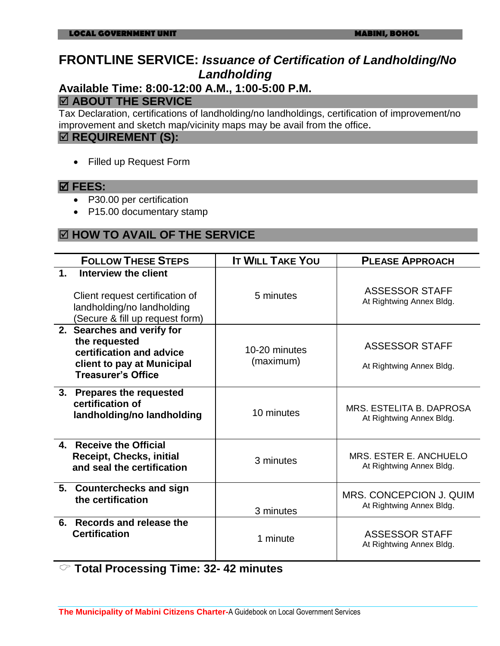# **FRONTLINE SERVICE:** *Issuance of Certification of Landholding/No Landholding*

# **Available Time: 8:00-12:00 A.M., 1:00-5:00 P.M.**

## **ABOUT THE SERVICE**

Tax Declaration, certifications of landholding/no landholdings, certification of improvement/no improvement and sketch map/vicinity maps may be avail from the office.

#### $\boxtimes$  **REQUIREMENT (S):**

Filled up Request Form

#### **FEES:**

- P30.00 per certification
- P15.00 documentary stamp

### **HOW TO AVAIL OF THE SERVICE**

|    | <b>FOLLOW THESE STEPS</b>                                                                                                          | <b>IT WILL TAKE YOU</b>    | <b>PLEASE APPROACH</b>                               |
|----|------------------------------------------------------------------------------------------------------------------------------------|----------------------------|------------------------------------------------------|
| 1. | Interview the client<br>Client request certification of<br>landholding/no landholding<br>(Secure & fill up request form)           | 5 minutes                  | ASSESSOR STAFF<br>At Rightwing Annex Bldg.           |
|    | 2. Searches and verify for<br>the requested<br>certification and advice<br>client to pay at Municipal<br><b>Treasurer's Office</b> | 10-20 minutes<br>(maximum) | <b>ASSESSOR STAFF</b><br>At Rightwing Annex Bldg.    |
|    | 3. Prepares the requested<br>certification of<br>landholding/no landholding                                                        | 10 minutes                 | MRS. ESTELITA B. DAPROSA<br>At Rightwing Annex Bldg. |
| 4. | <b>Receive the Official</b><br>Receipt, Checks, initial<br>and seal the certification                                              | 3 minutes                  | MRS. ESTER E. ANCHUELO<br>At Rightwing Annex Bldg.   |
|    | 5. Counterchecks and sign<br>the certification                                                                                     | 3 minutes                  | MRS. CONCEPCION J. QUIM<br>At Rightwing Annex Bldg.  |
| 6. | Records and release the<br><b>Certification</b>                                                                                    | 1 minute                   | <b>ASSESSOR STAFF</b><br>At Rightwing Annex Bldg.    |

**Total Processing Time: 32- 42 minutes**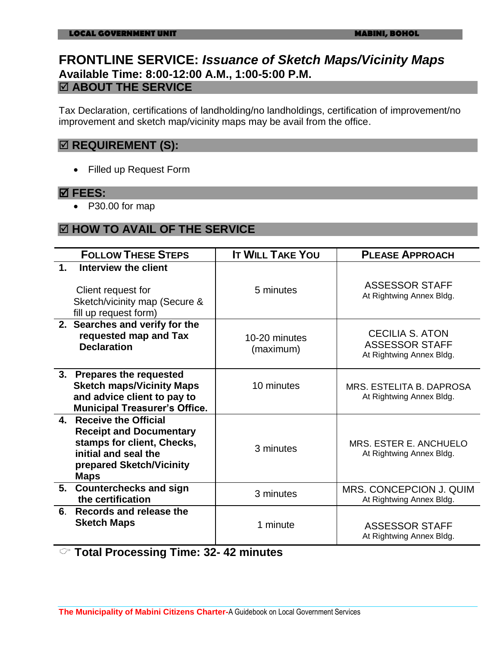### **FRONTLINE SERVICE:** *Issuance of Sketch Maps/Vicinity Maps*  **Available Time: 8:00-12:00 A.M., 1:00-5:00 P.M. ABOUT THE SERVICE**

Tax Declaration, certifications of landholding/no landholdings, certification of improvement/no improvement and sketch map/vicinity maps may be avail from the office.

### $⊠$  **REQUIREMENT (S):**

Filled up Request Form

#### **FEES:**

P30.00 for map

### **HOW TO AVAIL OF THE SERVICE**

|               | <b>FOLLOW THESE STEPS</b>                                                                                                                                      | <b>IT WILL TAKE YOU</b>    | <b>PLEASE APPROACH</b>                                                      |
|---------------|----------------------------------------------------------------------------------------------------------------------------------------------------------------|----------------------------|-----------------------------------------------------------------------------|
| $\mathbf 1$ . | Interview the client<br>Client request for<br>Sketch/vicinity map (Secure &<br>fill up request form)                                                           | 5 minutes                  | <b>ASSESSOR STAFF</b><br>At Rightwing Annex Bldg.                           |
|               | 2. Searches and verify for the<br>requested map and Tax<br><b>Declaration</b>                                                                                  | 10-20 minutes<br>(maximum) | <b>CECILIA S. ATON</b><br><b>ASSESSOR STAFF</b><br>At Rightwing Annex Bldg. |
| 3.            | <b>Prepares the requested</b><br><b>Sketch maps/Vicinity Maps</b><br>and advice client to pay to<br><b>Municipal Treasurer's Office.</b>                       | 10 minutes                 | MRS. ESTELITA B. DAPROSA<br>At Rightwing Annex Bldg.                        |
| $\mathbf{4}$  | <b>Receive the Official</b><br><b>Receipt and Documentary</b><br>stamps for client, Checks,<br>initial and seal the<br>prepared Sketch/Vicinity<br><b>Maps</b> | 3 minutes                  | MRS. ESTER E. ANCHUELO<br>At Rightwing Annex Bldg.                          |
| 5.            | <b>Counterchecks and sign</b><br>the certification                                                                                                             | 3 minutes                  | MRS. CONCEPCION J. QUIM<br>At Rightwing Annex Bldg.                         |
| 6.            | Records and release the<br><b>Sketch Maps</b>                                                                                                                  | 1 minute                   | <b>ASSESSOR STAFF</b><br>At Rightwing Annex Bldg.                           |

**Total Processing Time: 32- 42 minutes**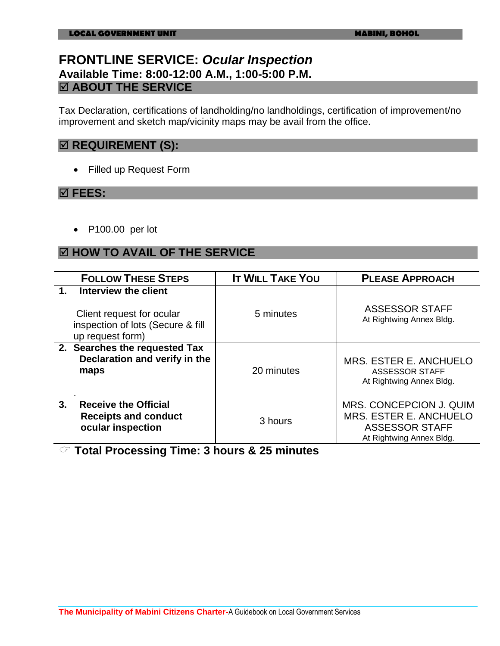### **FRONTLINE SERVICE:** *Ocular Inspection* **Available Time: 8:00-12:00 A.M., 1:00-5:00 P.M. ABOUT THE SERVICE**

Tax Declaration, certifications of landholding/no landholdings, certification of improvement/no improvement and sketch map/vicinity maps may be avail from the office.

### $⊠$  **REQUIREMENT (S):**

Filled up Request Form

#### **FEES:**

P100.00 per lot

### **HOW TO AVAIL OF THE SERVICE**

| <b>FOLLOW THESE STEPS</b>                                                                                                   | <b>IT WILL TAKE YOU</b> | <b>PLEASE APPROACH</b>                                                                                 |
|-----------------------------------------------------------------------------------------------------------------------------|-------------------------|--------------------------------------------------------------------------------------------------------|
| Interview the client<br>$\mathbf 1$ .<br>Client request for ocular<br>inspection of lots (Secure & fill<br>up request form) | 5 minutes               | <b>ASSESSOR STAFF</b><br>At Rightwing Annex Bldg.                                                      |
| 2. Searches the requested Tax<br>Declaration and verify in the<br>maps                                                      | 20 minutes              | MRS. ESTER E. ANCHUELO<br><b>ASSESSOR STAFF</b><br>At Rightwing Annex Bldg.                            |
| 3.<br><b>Receive the Official</b><br><b>Receipts and conduct</b><br>ocular inspection                                       | 3 hours                 | MRS. CONCEPCION J. QUIM<br>MRS. ESTER E. ANCHUELO<br><b>ASSESSOR STAFF</b><br>At Rightwing Annex Bldg. |

**Total Processing Time: 3 hours & 25 minutes**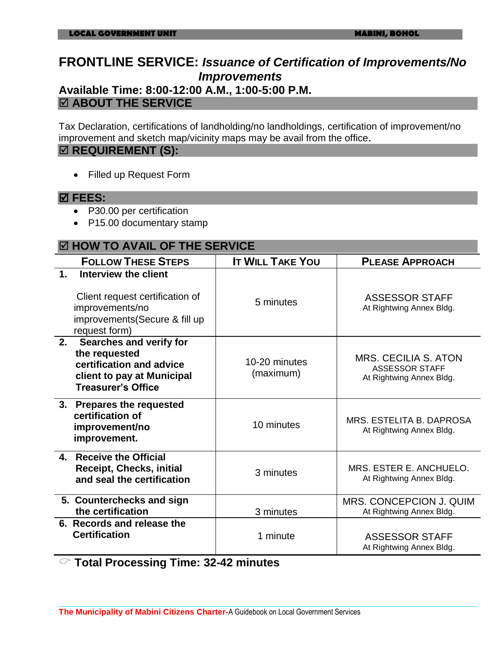# **FRONTLINE SERVICE:** *Issuance of Certification of Improvements/No Improvements*

# **Available Time: 8:00-12:00 A.M., 1:00-5:00 P.M.**

### **ABOUT THE SERVICE**

Tax Declaration, certifications of landholding/no landholdings, certification of improvement/no improvement and sketch map/vicinity maps may be avail from the office.

### $\boxtimes$  **REQUIREMENT (S):**

Filled up Request Form

#### **FEES:**

- P30.00 per certification
- P15.00 documentary stamp

#### **HOW TO AVAIL OF THE SERVICE**

| <b>FOLLOW THESE STEPS</b>                                                                                                                      | <b>IT WILL TAKE YOU</b>    | <b>PLEASE APPROACH</b>                                                           |
|------------------------------------------------------------------------------------------------------------------------------------------------|----------------------------|----------------------------------------------------------------------------------|
| Interview the client<br>$\mathbf 1$ .<br>Client request certification of<br>improvements/no<br>improvements (Secure & fill up<br>request form) | 5 minutes                  | <b>ASSESSOR STAFF</b><br>At Rightwing Annex Bldg.                                |
| 2.<br>Searches and verify for<br>the requested<br>certification and advice<br>client to pay at Municipal<br><b>Treasurer's Office</b>          | 10-20 minutes<br>(maximum) | <b>MRS. CECILIA S. ATON</b><br><b>ASSESSOR STAFF</b><br>At Rightwing Annex Bldg. |
| 3. Prepares the requested<br>certification of<br>improvement/no<br>improvement.                                                                | 10 minutes                 | MRS. ESTELITA B. DAPROSA<br>At Rightwing Annex Bldg.                             |
| 4. Receive the Official<br><b>Receipt, Checks, initial</b><br>and seal the certification                                                       | 3 minutes                  | MRS. ESTER E. ANCHUELO.<br>At Rightwing Annex Bldg.                              |
| 5. Counterchecks and sign<br>the certification                                                                                                 | 3 minutes                  | MRS. CONCEPCION J. QUIM<br>At Rightwing Annex Bldg.                              |
| 6. Records and release the<br><b>Certification</b>                                                                                             | 1 minute                   | <b>ASSESSOR STAFF</b><br>At Rightwing Annex Bldg.                                |

**Total Processing Time: 32-42 minutes**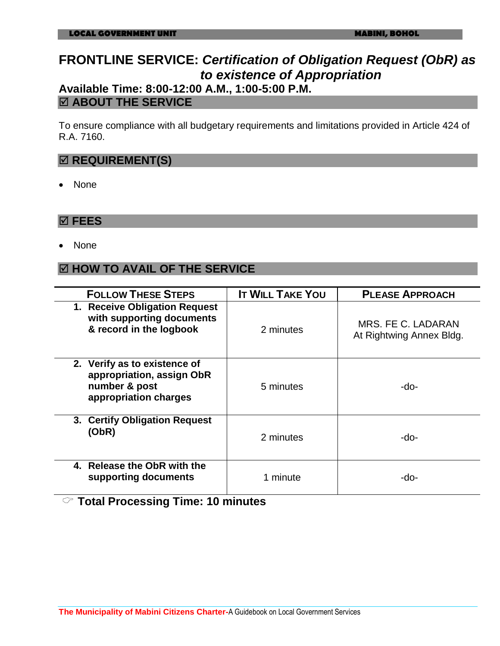### **FRONTLINE SERVICE:** *Certification of Obligation Request (ObR) as to existence of Appropriation* **Available Time: 8:00-12:00 A.M., 1:00-5:00 P.M.**

### **ABOUT THE SERVICE**

To ensure compliance with all budgetary requirements and limitations provided in Article 424 of R.A. 7160.

#### $⊓$  **REQUIREMENT(S)**

None

#### **FEES**

None

### **HOW TO AVAIL OF THE SERVICE**

| <b>FOLLOW THESE STEPS</b>                                                                           | <b>IT WILL TAKE YOU</b> | <b>PLEASE APPROACH</b>                         |
|-----------------------------------------------------------------------------------------------------|-------------------------|------------------------------------------------|
| 1. Receive Obligation Request<br>with supporting documents<br>& record in the logbook               | 2 minutes               | MRS. FE C. LADARAN<br>At Rightwing Annex Bldg. |
| 2. Verify as to existence of<br>appropriation, assign ObR<br>number & post<br>appropriation charges | 5 minutes               | -do-                                           |
| 3. Certify Obligation Request<br>(ObR)                                                              | 2 minutes               | -do-                                           |
| 4. Release the ObR with the<br>supporting documents                                                 | 1 minute                | -do-                                           |

### **Total Processing Time: 10 minutes**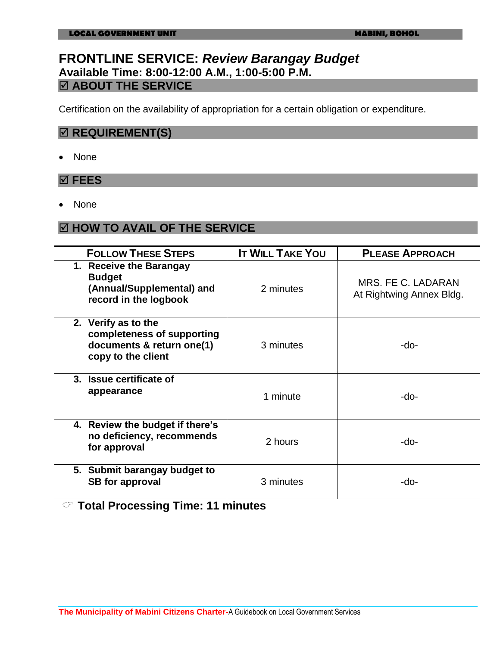### **FRONTLINE SERVICE:** *Review Barangay Budget* **Available Time: 8:00-12:00 A.M., 1:00-5:00 P.M. ABOUT THE SERVICE**

Certification on the availability of appropriation for a certain obligation or expenditure.

### $\boxtimes$  **REQUIREMENT(S)**

None

#### **FEES**

None

### **HOW TO AVAIL OF THE SERVICE**

| <b>FOLLOW THESE STEPS</b>                                                                            | <b>IT WILL TAKE YOU</b> | <b>PLEASE APPROACH</b>                         |
|------------------------------------------------------------------------------------------------------|-------------------------|------------------------------------------------|
| 1. Receive the Barangay<br><b>Budget</b><br>(Annual/Supplemental) and<br>record in the logbook       | 2 minutes               | MRS. FE C. LADARAN<br>At Rightwing Annex Bldg. |
| 2. Verify as to the<br>completeness of supporting<br>documents & return one(1)<br>copy to the client | 3 minutes               | -do-                                           |
| 3. Issue certificate of<br>appearance                                                                | 1 minute                | -do-                                           |
| 4. Review the budget if there's<br>no deficiency, recommends<br>for approval                         | 2 hours                 | -do-                                           |
| 5. Submit barangay budget to<br><b>SB</b> for approval                                               | 3 minutes               | -do-                                           |

**Total Processing Time: 11 minutes**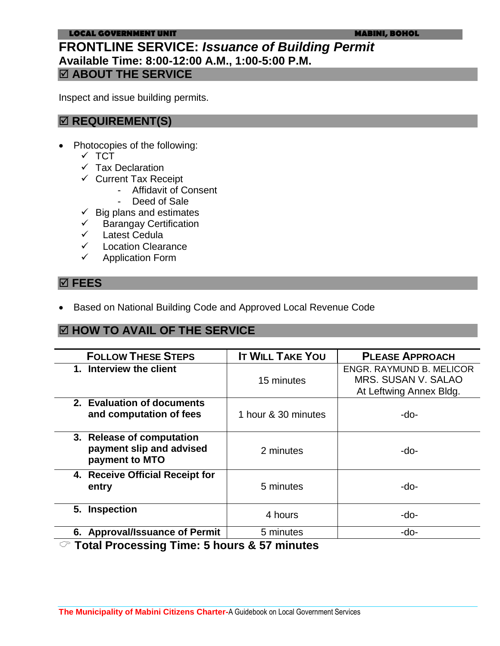#### **LOCAL GOVERNMENT UNIT MABINI, BOHOL**

### **FRONTLINE SERVICE:** *Issuance of Building Permit*  **Available Time: 8:00-12:00 A.M., 1:00-5:00 P.M. ABOUT THE SERVICE**

Inspect and issue building permits.

### **REQUIREMENT(S)**

- Photocopies of the following:
	- $\times$  TCT
	- $\checkmark$  Tax Declaration
	- $\checkmark$  Current Tax Receipt
		- Affidavit of Consent
		- Deed of Sale
	- $\checkmark$  Big plans and estimates
	- Barangay Certification
	- $\checkmark$  Latest Cedula
	- Location Clearance
	- $\checkmark$  Application Form

#### **FEES**

Based on National Building Code and Approved Local Revenue Code

### **HOW TO AVAIL OF THE SERVICE**

| <b>FOLLOW THESE STEPS</b>                                               | <b>IT WILL TAKE YOU</b> | <b>PLEASE APPROACH</b>                                                     |
|-------------------------------------------------------------------------|-------------------------|----------------------------------------------------------------------------|
| 1. Interview the client                                                 | 15 minutes              | ENGR. RAYMUND B. MELICOR<br>MRS. SUSAN V. SALAO<br>At Leftwing Annex Bldg. |
| 2. Evaluation of documents<br>and computation of fees                   | 1 hour & 30 minutes     | -do-                                                                       |
| 3. Release of computation<br>payment slip and advised<br>payment to MTO | 2 minutes               | -do-                                                                       |
| 4. Receive Official Receipt for<br>entry                                | 5 minutes               | -do-                                                                       |
| 5. Inspection                                                           | 4 hours                 | -do-                                                                       |
| 6. Approval/Issuance of Permit                                          | 5 minutes               | -do-                                                                       |

**Total Processing Time: 5 hours & 57 minutes**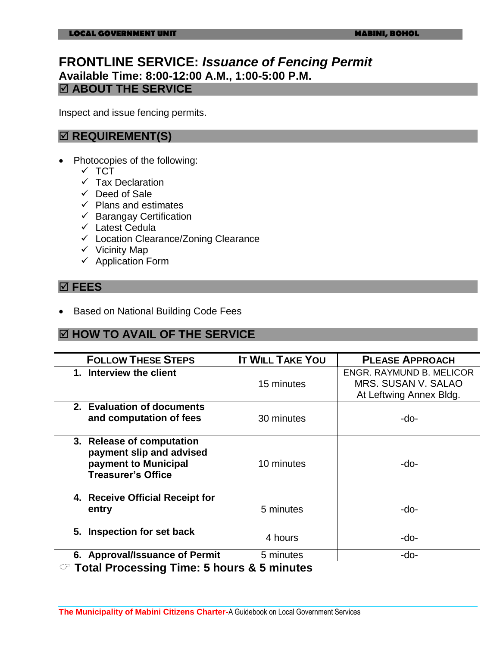### **FRONTLINE SERVICE:** *Issuance of Fencing Permit*  **Available Time: 8:00-12:00 A.M., 1:00-5:00 P.M. ABOUT THE SERVICE**

Inspect and issue fencing permits.

### **<b>** $⊓$  **REQUIREMENT(S)**

- Photocopies of the following:
	- $\times$  TCT
	- $\checkmark$  Tax Declaration
	- $\checkmark$  Deed of Sale
	- $\checkmark$  Plans and estimates
	- $\checkmark$  Barangay Certification
	- $\checkmark$  Latest Cedula
	- $\checkmark$  Location Clearance/Zoning Clearance
	- $\checkmark$  Vicinity Map
	- $\checkmark$  Application Form

### **FEES**

• Based on National Building Code Fees

#### **HOW TO AVAIL OF THE SERVICE**

| <b>FOLLOW THESE STEPS</b>                                                                                                 | <b>IT WILL TAKE YOU</b> | <b>PLEASE APPROACH</b>                                                     |
|---------------------------------------------------------------------------------------------------------------------------|-------------------------|----------------------------------------------------------------------------|
| 1. Interview the client                                                                                                   | 15 minutes              | ENGR. RAYMUND B. MELICOR<br>MRS. SUSAN V. SALAO<br>At Leftwing Annex Bldg. |
| 2. Evaluation of documents<br>and computation of fees                                                                     | 30 minutes              | -do-                                                                       |
| 3. Release of computation<br>payment slip and advised<br>payment to Municipal<br><b>Treasurer's Office</b>                | 10 minutes              | -do-                                                                       |
| 4. Receive Official Receipt for<br>entry                                                                                  | 5 minutes               | -do-                                                                       |
| 5. Inspection for set back                                                                                                | 4 hours                 | -do-                                                                       |
| 6. Approval/Issuance of Permit                                                                                            | 5 minutes               | -do-                                                                       |
| $\curvearrowright$ that is a constant to the set of the $\curvearrowright$<br>$\mathbf{A}$ . For an absolute $\mathbf{A}$ |                         |                                                                            |

**Total Processing Time: 5 hours & 5 minutes**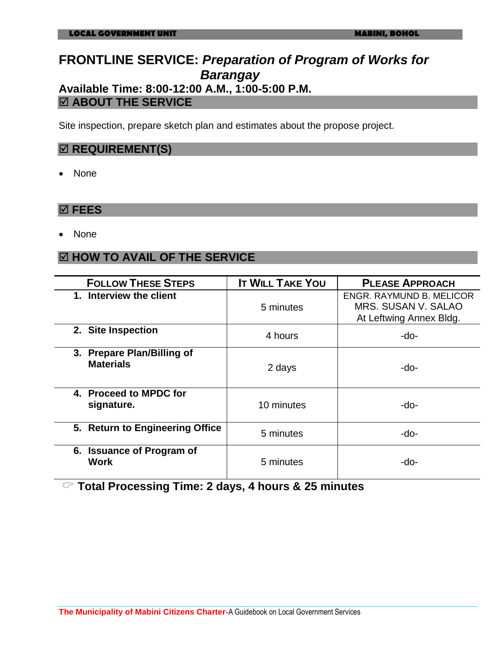### **FRONTLINE SERVICE:** *Preparation of Program of Works for Barangay*  **Available Time: 8:00-12:00 A.M., 1:00-5:00 P.M.**

### **ABOUT THE SERVICE**

Site inspection, prepare sketch plan and estimates about the propose project.

#### **<b>** $⊓$  **REQUIREMENT(S)**

None

#### **FEES**

None

### **HOW TO AVAIL OF THE SERVICE**

| <b>FOLLOW THESE STEPS</b>                          | <b>IT WILL TAKE YOU</b> | <b>PLEASE APPROACH</b>                                                     |
|----------------------------------------------------|-------------------------|----------------------------------------------------------------------------|
| 1. Interview the client                            | 5 minutes               | ENGR. RAYMUND B. MELICOR<br>MRS. SUSAN V. SALAO<br>At Leftwing Annex Bldg. |
| 2. Site Inspection                                 | 4 hours                 | -do-                                                                       |
| 3. Prepare Plan/Billing of<br><b>Materials</b>     | 2 days                  | -do-                                                                       |
| 4. Proceed to MPDC for<br>signature.               | 10 minutes              | -do-                                                                       |
| 5. Return to Engineering Office                    | 5 minutes               | -do-                                                                       |
| <b>Issuance of Program of</b><br>6.<br><b>Work</b> | 5 minutes               | -do-                                                                       |

**Total Processing Time: 2 days, 4 hours & 25 minutes**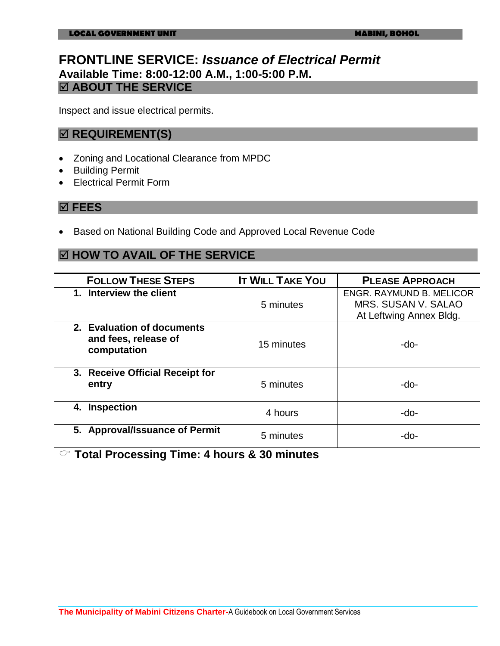### **FRONTLINE SERVICE:** *Issuance of Electrical Permit* **Available Time: 8:00-12:00 A.M., 1:00-5:00 P.M. ABOUT THE SERVICE**

Inspect and issue electrical permits.

#### $⊓$  **REQUIREMENT(S)**

- Zoning and Locational Clearance from MPDC
- **•** Building Permit
- Electrical Permit Form

#### **FEES**

• Based on National Building Code and Approved Local Revenue Code

### **HOW TO AVAIL OF THE SERVICE**

| <b>FOLLOW THESE STEPS</b>                                         | <b>IT WILL TAKE YOU</b> | <b>PLEASE APPROACH</b>                                                     |
|-------------------------------------------------------------------|-------------------------|----------------------------------------------------------------------------|
| 1. Interview the client                                           | 5 minutes               | ENGR. RAYMUND B. MELICOR<br>MRS. SUSAN V. SALAO<br>At Leftwing Annex Bldg. |
| 2. Evaluation of documents<br>and fees, release of<br>computation | 15 minutes              | -do-                                                                       |
| 3. Receive Official Receipt for<br>entry                          | 5 minutes               | -do-                                                                       |
| <b>Inspection</b><br>4.                                           | 4 hours                 | -do-                                                                       |
| 5. Approval/Issuance of Permit                                    | 5 minutes               | -do-                                                                       |

**Total Processing Time: 4 hours & 30 minutes**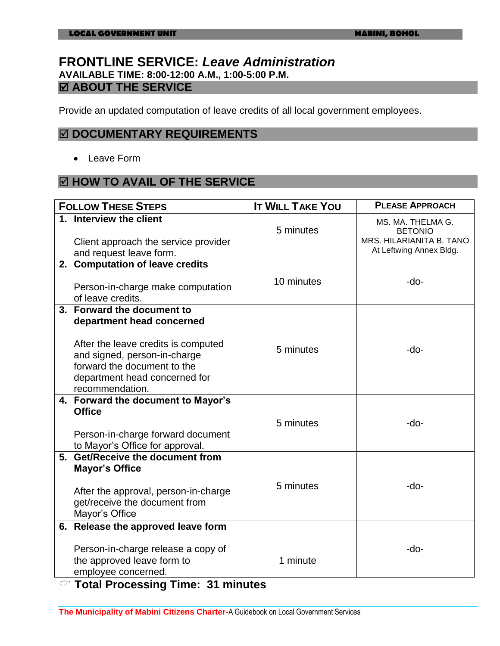### **FRONTLINE SERVICE:** *Leave Administration* **AVAILABLE TIME: 8:00-12:00 A.M., 1:00-5:00 P.M.**  $\boxdot$  **ABOUT THE SERVICE**

Provide an updated computation of leave credits of all local government employees.

#### **DOCUMENTARY REQUIREMENTS**

Leave Form

### **HOW TO AVAIL OF THE SERVICE**

| <b>FOLLOW THESE STEPS</b>                                                                                                                                                                                         | <b>IT WILL TAKE YOU</b> | <b>PLEASE APPROACH</b>                                                                     |
|-------------------------------------------------------------------------------------------------------------------------------------------------------------------------------------------------------------------|-------------------------|--------------------------------------------------------------------------------------------|
| 1. Interview the client<br>Client approach the service provider<br>and request leave form.                                                                                                                        | 5 minutes               | MS. MA. THELMA G.<br><b>BETONIO</b><br>MRS. HILARIANITA B. TANO<br>At Leftwing Annex Bldg. |
| 2. Computation of leave credits<br>Person-in-charge make computation<br>of leave credits.                                                                                                                         | 10 minutes              | $-do-$                                                                                     |
| 3. Forward the document to<br>department head concerned<br>After the leave credits is computed<br>and signed, person-in-charge<br>forward the document to the<br>department head concerned for<br>recommendation. | 5 minutes               | -do-                                                                                       |
| 4. Forward the document to Mayor's<br><b>Office</b><br>Person-in-charge forward document<br>to Mayor's Office for approval.                                                                                       | 5 minutes               | -do-                                                                                       |
| 5. Get/Receive the document from<br><b>Mayor's Office</b><br>After the approval, person-in-charge<br>get/receive the document from<br>Mayor's Office                                                              | 5 minutes               | -do-                                                                                       |
| 6. Release the approved leave form<br>Person-in-charge release a copy of<br>the approved leave form to<br>employee concerned.                                                                                     | 1 minute                | -do-                                                                                       |

**Total Processing Time: 31 minutes**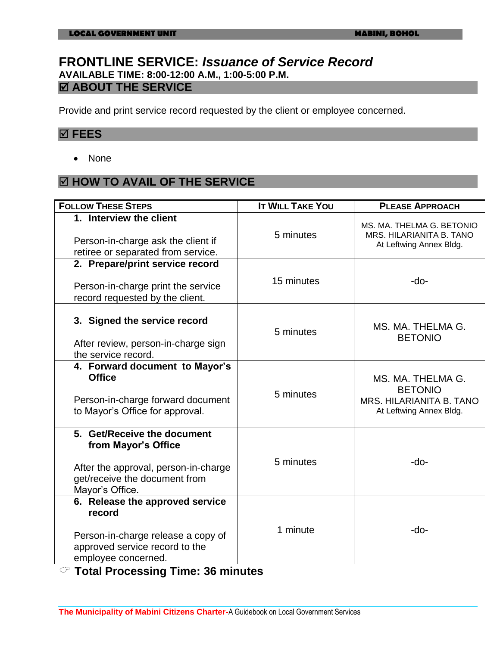### **FRONTLINE SERVICE:** *Issuance of Service Record* **AVAILABLE TIME: 8:00-12:00 A.M., 1:00-5:00 P.M. ABOUT THE SERVICE**

Provide and print service record requested by the client or employee concerned.

#### **FEES**

• None

### **HOW TO AVAIL OF THE SERVICE**

| <b>FOLLOW THESE STEPS</b>                                                                                                                      | <b>IT WILL TAKE YOU</b> | <b>PLEASE APPROACH</b>                                                                     |
|------------------------------------------------------------------------------------------------------------------------------------------------|-------------------------|--------------------------------------------------------------------------------------------|
| 1. Interview the client<br>Person-in-charge ask the client if<br>retiree or separated from service.                                            | 5 minutes               | MS. MA. THELMA G. BETONIO<br>MRS. HILARIANITA B. TANO<br>At Leftwing Annex Bldg.           |
| 2. Prepare/print service record<br>Person-in-charge print the service<br>record requested by the client.                                       | 15 minutes              | $-do-$                                                                                     |
| 3. Signed the service record<br>After review, person-in-charge sign<br>the service record.                                                     | 5 minutes               | MS. MA. THELMA G.<br><b>BETONIO</b>                                                        |
| 4. Forward document to Mayor's<br><b>Office</b><br>Person-in-charge forward document<br>to Mayor's Office for approval.                        | 5 minutes               | MS. MA. THELMA G.<br><b>BETONIO</b><br>MRS. HILARIANITA B. TANO<br>At Leftwing Annex Bldg. |
| 5. Get/Receive the document<br>from Mayor's Office<br>After the approval, person-in-charge<br>get/receive the document from<br>Mayor's Office. | 5 minutes               | -do-                                                                                       |
| 6. Release the approved service<br>record<br>Person-in-charge release a copy of<br>approved service record to the<br>employee concerned.       | 1 minute                | -do-                                                                                       |

**Total Processing Time: 36 minutes**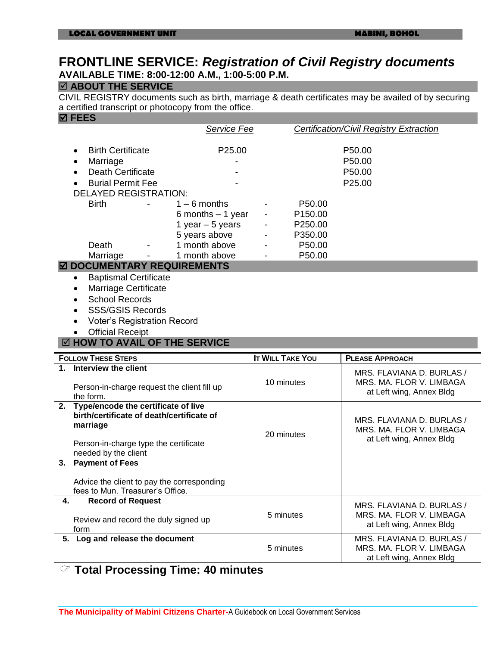### **FRONTLINE SERVICE:** *Registration of Civil Registry documents* **AVAILABLE TIME: 8:00-12:00 A.M., 1:00-5:00 P.M.**

#### **ABOUT THE SERVICE**

CIVIL REGISTRY documents such as birth, marriage & death certificates may be availed of by securing a certified transcript or photocopy from the office.

| <b>☑ FEES</b>                                        |                         |                                                       |  |  |
|------------------------------------------------------|-------------------------|-------------------------------------------------------|--|--|
|                                                      | <b>Service Fee</b>      | <b>Certification/Civil Registry Extraction</b>        |  |  |
|                                                      |                         |                                                       |  |  |
| <b>Birth Certificate</b>                             | P25.00                  | P50.00                                                |  |  |
| Marriage                                             |                         | P50.00                                                |  |  |
| <b>Death Certificate</b>                             |                         | P50.00                                                |  |  |
| <b>Burial Permit Fee</b>                             |                         | P25.00                                                |  |  |
| <b>DELAYED REGISTRATION:</b>                         |                         |                                                       |  |  |
| <b>Birth</b><br>$1 - 6$ months                       | P50.00                  |                                                       |  |  |
| 6 months $-1$ year                                   | P <sub>150.00</sub>     |                                                       |  |  |
| 1 year $-5$ years                                    | P250.00                 |                                                       |  |  |
| 5 years above                                        | P350.00                 |                                                       |  |  |
| 1 month above<br>Death                               | P50.00                  |                                                       |  |  |
| 1 month above<br>Marriage                            | P50.00                  |                                                       |  |  |
| <b>DOCUMENTARY REQUIREMENTS</b>                      |                         |                                                       |  |  |
| <b>Baptismal Certificate</b><br>$\bullet$            |                         |                                                       |  |  |
| <b>Marriage Certificate</b><br>٠                     |                         |                                                       |  |  |
| <b>School Records</b>                                |                         |                                                       |  |  |
|                                                      |                         |                                                       |  |  |
| <b>SSS/GSIS Records</b>                              |                         |                                                       |  |  |
| <b>Voter's Registration Record</b>                   |                         |                                                       |  |  |
|                                                      |                         |                                                       |  |  |
| <b>Official Receipt</b>                              |                         |                                                       |  |  |
| ☑ HOW TO AVAIL OF THE SERVICE                        |                         |                                                       |  |  |
| <b>FOLLOW THESE STEPS</b>                            | <b>IT WILL TAKE YOU</b> | <b>PLEASE APPROACH</b>                                |  |  |
| Interview the client                                 |                         |                                                       |  |  |
|                                                      |                         | MRS. FLAVIANA D. BURLAS /                             |  |  |
| Person-in-charge request the client fill up          | 10 minutes              | MRS. MA. FLOR V. LIMBAGA                              |  |  |
| the form.                                            |                         | at Left wing, Annex Bldg                              |  |  |
| 2. Type/encode the certificate of live               |                         |                                                       |  |  |
| birth/certificate of death/certificate of            |                         | MRS. FLAVIANA D. BURLAS /                             |  |  |
| marriage                                             |                         | MRS. MA. FLOR V. LIMBAGA                              |  |  |
|                                                      | 20 minutes              | at Left wing, Annex Bldg                              |  |  |
| Person-in-charge type the certificate                |                         |                                                       |  |  |
| needed by the client<br><b>Payment of Fees</b><br>3. |                         |                                                       |  |  |
|                                                      |                         |                                                       |  |  |
| Advice the client to pay the corresponding           |                         |                                                       |  |  |
| fees to Mun. Treasurer's Office.                     |                         |                                                       |  |  |
| <b>Record of Request</b><br>4.                       |                         | MRS. FLAVIANA D. BURLAS /                             |  |  |
|                                                      | 5 minutes               | MRS. MA. FLOR V. LIMBAGA                              |  |  |
| Review and record the duly signed up                 |                         | at Left wing, Annex Bldg                              |  |  |
| form                                                 |                         |                                                       |  |  |
| 5. Log and release the document                      | 5 minutes               | MRS. FLAVIANA D. BURLAS /<br>MRS. MA. FLOR V. LIMBAGA |  |  |
|                                                      |                         | at Left wing, Annex Bldg                              |  |  |

**Total Processing Time: 40 minutes**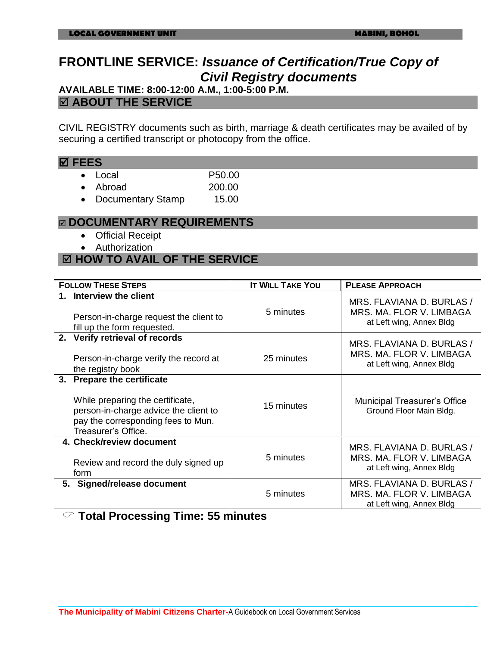# **FRONTLINE SERVICE:** *Issuance of Certification/True Copy of Civil Registry documents*

**AVAILABLE TIME: 8:00-12:00 A.M., 1:00-5:00 P.M.**

#### **ABOUT THE SERVICE**

CIVIL REGISTRY documents such as birth, marriage & death certificates may be availed of by securing a certified transcript or photocopy from the office.

#### **FEES**

- Local P50.00
- Abroad 200.00
- Documentary Stamp 15.00

#### **DOCUMENTARY REQUIREMENTS**

- Official Receipt
- Authorization

### **HOW TO AVAIL OF THE SERVICE**

| <b>FOLLOW THESE STEPS</b>                                                                                                                                            | <b>IT WILL TAKE YOU</b> | <b>PLEASE APPROACH</b>                                                            |
|----------------------------------------------------------------------------------------------------------------------------------------------------------------------|-------------------------|-----------------------------------------------------------------------------------|
| 1. Interview the client<br>Person-in-charge request the client to<br>fill up the form requested.                                                                     | 5 minutes               | MRS. FLAVIANA D. BURLAS /<br>MRS. MA. FLOR V. LIMBAGA<br>at Left wing, Annex Bldg |
| 2. Verify retrieval of records<br>Person-in-charge verify the record at<br>the registry book                                                                         | 25 minutes              | MRS. FLAVIANA D. BURLAS /<br>MRS. MA. FLOR V. LIMBAGA<br>at Left wing, Annex Bldg |
| 3. Prepare the certificate<br>While preparing the certificate,<br>person-in-charge advice the client to<br>pay the corresponding fees to Mun.<br>Treasurer's Office. | 15 minutes              | Municipal Treasurer's Office<br>Ground Floor Main Bldg.                           |
| 4. Check/review document<br>Review and record the duly signed up<br>form                                                                                             | 5 minutes               | MRS. FLAVIANA D. BURLAS /<br>MRS. MA. FLOR V. LIMBAGA<br>at Left wing, Annex Bldg |
| 5. Signed/release document                                                                                                                                           | 5 minutes               | MRS. FLAVIANA D. BURLAS /<br>MRS. MA. FLOR V. LIMBAGA<br>at Left wing, Annex Bldg |

**Total Processing Time: 55 minutes**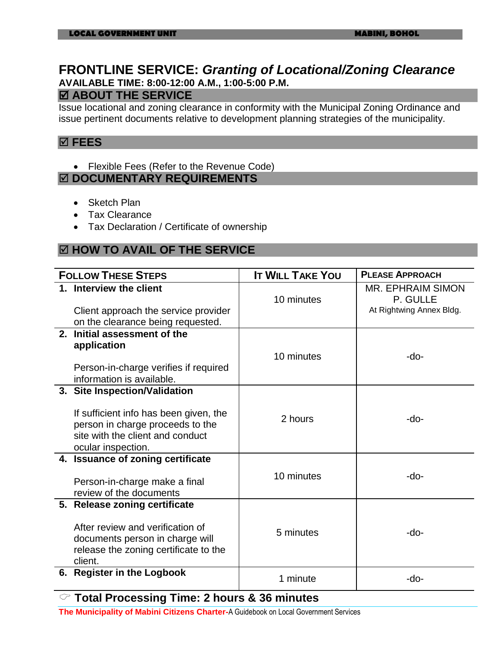### **FRONTLINE SERVICE:** *Granting of Locational/Zoning Clearance* **AVAILABLE TIME: 8:00-12:00 A.M., 1:00-5:00 P.M.**

#### **ABOUT THE SERVICE**

Issue locational and zoning clearance in conformity with the Municipal Zoning Ordinance and issue pertinent documents relative to development planning strategies of the municipality.

#### **FEES**

Flexible Fees (Refer to the Revenue Code)

#### **DOCUMENTARY REQUIREMENTS**

- Sketch Plan
- Tax Clearance
- Tax Declaration / Certificate of ownership

### **HOW TO AVAIL OF THE SERVICE**

| <b>FOLLOW THESE STEPS</b> |                                                                                                                                                 | <b>IT WILL TAKE YOU</b> | <b>PLEASE APPROACH</b>                                    |
|---------------------------|-------------------------------------------------------------------------------------------------------------------------------------------------|-------------------------|-----------------------------------------------------------|
| 1. Interview the client   | Client approach the service provider<br>on the clearance being requested.                                                                       | 10 minutes              | MR. EPHRAIM SIMON<br>P. GULLE<br>At Rightwing Annex Bldg. |
| application               | 2. Initial assessment of the<br>Person-in-charge verifies if required<br>information is available.                                              | 10 minutes              | -do-                                                      |
| ocular inspection.        | 3. Site Inspection/Validation<br>If sufficient info has been given, the<br>person in charge proceeds to the<br>site with the client and conduct | 2 hours                 | -do-                                                      |
|                           | 4. Issuance of zoning certificate<br>Person-in-charge make a final<br>review of the documents                                                   | 10 minutes              | -do-                                                      |
| client.                   | 5. Release zoning certificate<br>After review and verification of<br>documents person in charge will<br>release the zoning certificate to the   | 5 minutes               | -do-                                                      |
|                           | 6. Register in the Logbook                                                                                                                      | 1 minute                | -do-                                                      |

### **Total Processing Time: 2 hours & 36 minutes**

**The Municipality of Mabini Citizens Charter-**A Guidebook on Local Government Services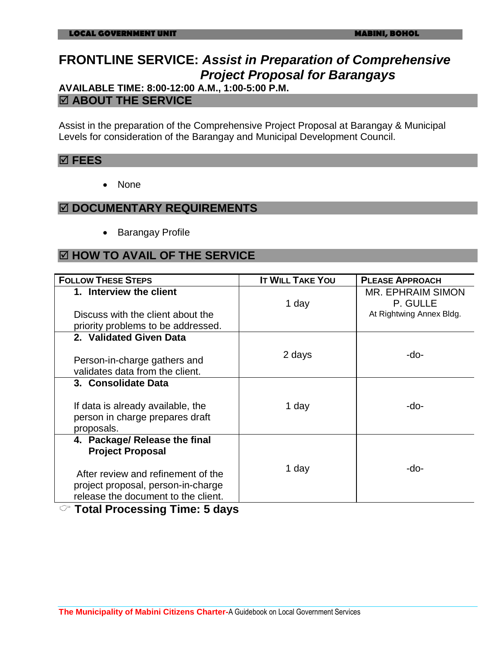# **FRONTLINE SERVICE:** *Assist in Preparation of Comprehensive Project Proposal for Barangays*

### **AVAILABLE TIME: 8:00-12:00 A.M., 1:00-5:00 P.M. ABOUT THE SERVICE**

Assist in the preparation of the Comprehensive Project Proposal at Barangay & Municipal Levels for consideration of the Barangay and Municipal Development Council.

#### **FEES**

• None

#### **DOCUMENTARY REQUIREMENTS**

• Barangay Profile

### **HOW TO AVAIL OF THE SERVICE**

| <b>FOLLOW THESE STEPS</b>           | <b>IT WILL TAKE YOU</b> | <b>PLEASE APPROACH</b>   |
|-------------------------------------|-------------------------|--------------------------|
| 1. Interview the client             |                         | <b>MR. EPHRAIM SIMON</b> |
|                                     | 1 day                   | P. GULLE                 |
| Discuss with the client about the   |                         | At Rightwing Annex Bldg. |
| priority problems to be addressed.  |                         |                          |
| 2. Validated Given Data             |                         |                          |
|                                     | 2 days                  | -do-                     |
| Person-in-charge gathers and        |                         |                          |
| validates data from the client.     |                         |                          |
| 3. Consolidate Data                 |                         |                          |
|                                     |                         |                          |
| If data is already available, the   | 1 day                   | -do-                     |
| person in charge prepares draft     |                         |                          |
| proposals.                          |                         |                          |
| 4. Package/ Release the final       |                         |                          |
| <b>Project Proposal</b>             |                         |                          |
|                                     | 1 day                   | -do-                     |
| After review and refinement of the  |                         |                          |
| project proposal, person-in-charge  |                         |                          |
| release the document to the client. |                         |                          |

**Total Processing Time: 5 days**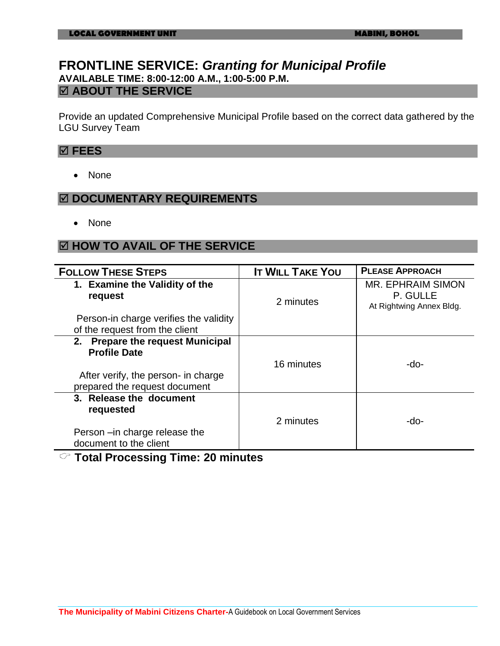### **FRONTLINE SERVICE:** *Granting for Municipal Profile* **AVAILABLE TIME: 8:00-12:00 A.M., 1:00-5:00 P.M. ABOUT THE SERVICE**

Provide an updated Comprehensive Municipal Profile based on the correct data gathered by the LGU Survey Team

#### **FEES**

• None

### **DOCUMENTARY REQUIREMENTS**

• None

### **HOW TO AVAIL OF THE SERVICE**

| <b>FOLLOW THESE STEPS</b>                                                                      | <b>IT WILL TAKE YOU</b> | <b>PLEASE APPROACH</b>                                           |
|------------------------------------------------------------------------------------------------|-------------------------|------------------------------------------------------------------|
| 1. Examine the Validity of the<br>request                                                      | 2 minutes               | <b>MR. EPHRAIM SIMON</b><br>P. GULLE<br>At Rightwing Annex Bldg. |
| Person-in charge verifies the validity                                                         |                         |                                                                  |
| of the request from the client                                                                 |                         |                                                                  |
| 2. Prepare the request Municipal<br><b>Profile Date</b><br>After verify, the person- in charge | 16 minutes              | -do-                                                             |
| prepared the request document                                                                  |                         |                                                                  |
| 3. Release the document<br>requested                                                           |                         |                                                                  |
| Person –in charge release the<br>document to the client                                        | 2 minutes               | -do-                                                             |

#### **Total Processing Time: 20 minutes**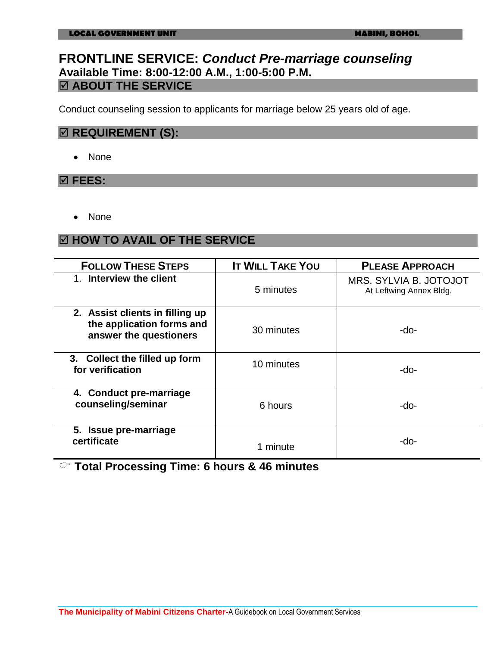### **FRONTLINE SERVICE:** *Conduct Pre-marriage counseling* **Available Time: 8:00-12:00 A.M., 1:00-5:00 P.M. ABOUT THE SERVICE**

Conduct counseling session to applicants for marriage below 25 years old of age.

#### $\boxtimes$  **REQUIREMENT (S):**

• None

#### **FEES:**

• None

### **HOW TO AVAIL OF THE SERVICE**

| <b>FOLLOW THESE STEPS</b>                                                              | <b>IT WILL TAKE YOU</b> | <b>PLEASE APPROACH</b>                            |
|----------------------------------------------------------------------------------------|-------------------------|---------------------------------------------------|
| 1. Interview the client                                                                | 5 minutes               | MRS. SYLVIA B. JOTOJOT<br>At Leftwing Annex Bldg. |
| 2. Assist clients in filling up<br>the application forms and<br>answer the questioners | 30 minutes              | -do-                                              |
| 3. Collect the filled up form<br>for verification                                      | 10 minutes              | -do-                                              |
| 4. Conduct pre-marriage<br>counseling/seminar                                          | 6 hours                 | -do-                                              |
| 5. Issue pre-marriage<br>certificate                                                   | 1 minute                | -do-                                              |

**Total Processing Time: 6 hours & 46 minutes**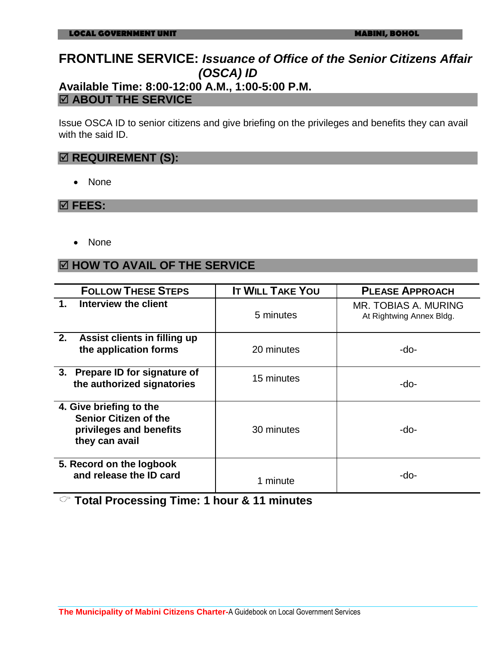### **FRONTLINE SERVICE:** *Issuance of Office of the Senior Citizens Affair (OSCA) ID* **Available Time: 8:00-12:00 A.M., 1:00-5:00 P.M.**

### **ABOUT THE SERVICE**

Issue OSCA ID to senior citizens and give briefing on the privileges and benefits they can avail with the said ID.

### $\boxtimes$  **REQUIREMENT (S):**

• None

#### **FEES:**

• None

### **HOW TO AVAIL OF THE SERVICE**

| <b>FOLLOW THESE STEPS</b>                                                                            | <b>IT WILL TAKE YOU</b> | <b>PLEASE APPROACH</b>                           |
|------------------------------------------------------------------------------------------------------|-------------------------|--------------------------------------------------|
| $\mathbf 1$ .<br>Interview the client                                                                | 5 minutes               | MR. TOBIAS A. MURING<br>At Rightwing Annex Bldg. |
| 2.<br>Assist clients in filling up<br>the application forms                                          | 20 minutes              | -do-                                             |
| 3. Prepare ID for signature of<br>the authorized signatories                                         | 15 minutes              | -do-                                             |
| 4. Give briefing to the<br><b>Senior Citizen of the</b><br>privileges and benefits<br>they can avail | 30 minutes              | -do-                                             |
| 5. Record on the logbook<br>and release the ID card                                                  | 1 minute                | -do-                                             |

**Total Processing Time: 1 hour & 11 minutes**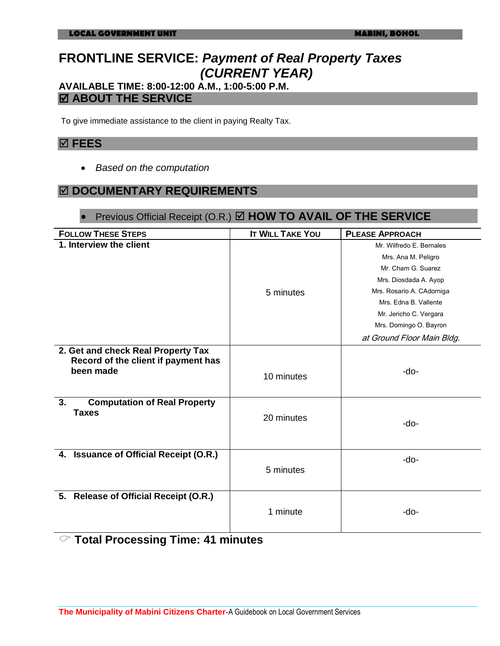# **FRONTLINE SERVICE:** *Payment of Real Property Taxes (CURRENT YEAR)*

### **AVAILABLE TIME: 8:00-12:00 A.M., 1:00-5:00 P.M. ABOUT THE SERVICE**

To give immediate assistance to the client in paying Realty Tax.

#### **FEES**

*Based on the computation*

### **DOCUMENTARY REQUIREMENTS**

### ● Previous Official Receipt (O.R.) **Ø HOW TO AVAIL OF THE SERVICE**

| <b>FOLLOW THESE STEPS</b>                                                              | <b>IT WILL TAKE YOU</b> | <b>PLEASE APPROACH</b>     |
|----------------------------------------------------------------------------------------|-------------------------|----------------------------|
| 1. Interview the client                                                                |                         | Mr. Wilfredo E. Bernales   |
|                                                                                        |                         | Mrs. Ana M. Peligro        |
|                                                                                        |                         | Mr. Cham G. Suarez         |
|                                                                                        |                         | Mrs. Diosdada A. Ayop      |
|                                                                                        | 5 minutes               | Mrs. Rosario A. CAdorniga  |
|                                                                                        |                         | Mrs. Edna B. Vallente      |
|                                                                                        |                         | Mr. Jericho C. Vergara     |
|                                                                                        |                         | Mrs. Domingo O. Bayron     |
|                                                                                        |                         | at Ground Floor Main Bldg. |
| 2. Get and check Real Property Tax<br>Record of the client if payment has<br>been made | 10 minutes              | -do-                       |
| <b>Computation of Real Property</b><br>3.<br><b>Taxes</b>                              | 20 minutes              | -do-                       |
| 4. Issuance of Official Receipt (O.R.)                                                 | 5 minutes               | -do-                       |
| 5. Release of Official Receipt (O.R.)                                                  | 1 minute                | -do-                       |

### **Total Processing Time: 41 minutes**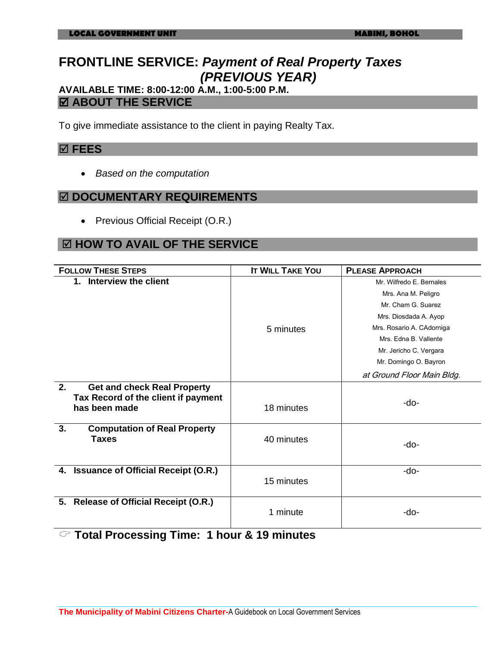# **FRONTLINE SERVICE:** *Payment of Real Property Taxes (PREVIOUS YEAR)*

**AVAILABLE TIME: 8:00-12:00 A.M., 1:00-5:00 P.M. ABOUT THE SERVICE**

To give immediate assistance to the client in paying Realty Tax.

#### **FEES**

*Based on the computation*

#### **DOCUMENTARY REQUIREMENTS**

• Previous Official Receipt (O.R.)

### **HOW TO AVAIL OF THE SERVICE**

| <b>FOLLOW THESE STEPS</b>                            | <b>IT WILL TAKE YOU</b> | <b>PLEASE APPROACH</b>     |
|------------------------------------------------------|-------------------------|----------------------------|
| 1. Interview the client                              |                         | Mr. Wilfredo E. Bernales   |
|                                                      |                         | Mrs. Ana M. Peligro        |
|                                                      |                         | Mr. Cham G. Suarez         |
|                                                      |                         | Mrs. Diosdada A. Ayop      |
|                                                      | 5 minutes               | Mrs. Rosario A. CAdorniga  |
|                                                      |                         | Mrs. Edna B. Vallente      |
|                                                      |                         | Mr. Jericho C. Vergara     |
|                                                      |                         | Mr. Domingo O. Bayron      |
|                                                      |                         | at Ground Floor Main Bldg. |
| 2.<br><b>Get and check Real Property</b>             |                         |                            |
| Tax Record of the client if payment<br>has been made | 18 minutes              | -do-                       |
| 3.<br><b>Computation of Real Property</b>            |                         |                            |
| <b>Taxes</b>                                         | 40 minutes              | -do-                       |
|                                                      |                         |                            |
| <b>Issuance of Official Receipt (O.R.)</b><br>4.     |                         | -do-                       |
|                                                      | 15 minutes              |                            |
| 5. Release of Official Receipt (O.R.)                | 1 minute                | -do-                       |

**Total Processing Time: 1 hour & 19 minutes**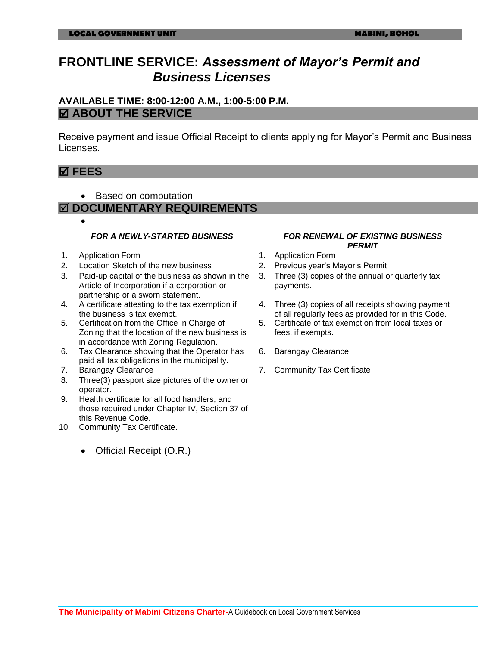## **FRONTLINE SERVICE:** *Assessment of Mayor's Permit and Business Licenses*

#### **AVAILABLE TIME: 8:00-12:00 A.M., 1:00-5:00 P.M. ABOUT THE SERVICE**

Receive payment and issue Official Receipt to clients applying for Mayor's Permit and Business Licenses.

### **FEES**

 $\bullet$ 

• Based on computation

#### **DOCUMENTARY REQUIREMENTS**

- 
- 1. Application Form 1. Application Form
- 2. Location Sketch of the new business 2. Previous year's Mayor's Permit
- 3. Paid-up capital of the business as shown in the Article of Incorporation if a corporation or partnership or a sworn statement.
- 4. A certificate attesting to the tax exemption if the business is tax exempt.
- 5. Certification from the Office in Charge of Zoning that the location of the new business is in accordance with Zoning Regulation.
- 6. Tax Clearance showing that the Operator has paid all tax obligations in the municipality.
- 
- 8. Three(3) passport size pictures of the owner or operator.
- 9. Health certificate for all food handlers, and those required under Chapter IV, Section 37 of this Revenue Code.
- 10. Community Tax Certificate.
	- Official Receipt (O.R.)

#### *FOR A NEWLY-STARTED BUSINESS FOR RENEWAL OF EXISTING BUSINESS PERMIT*

- 
- 
- 3. Three (3) copies of the annual or quarterly tax payments.
- 4. Three (3) copies of all receipts showing payment of all regularly fees as provided for in this Code.
- 5. Certificate of tax exemption from local taxes or fees, if exempts.
- 6. Barangay Clearance
- 7. Barangay Clearance 7. Community Tax Certificate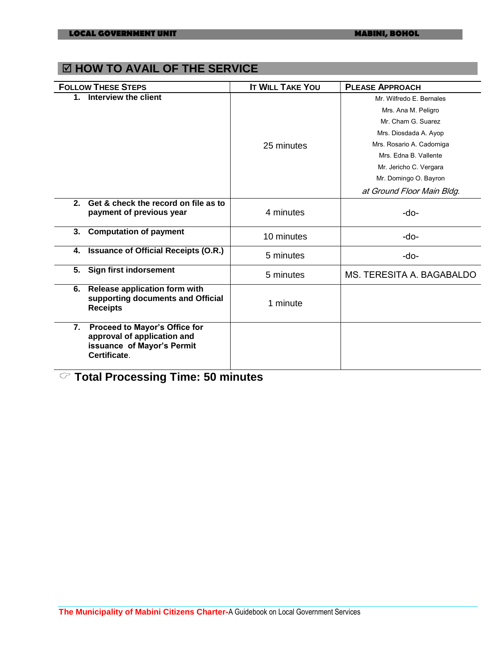### **EX HOW TO AVAIL OF THE SERVICE**

| <b>FOLLOW THESE STEPS</b>                                                                                        | <b>IT WILL TAKE YOU</b> | <b>PLEASE APPROACH</b>     |
|------------------------------------------------------------------------------------------------------------------|-------------------------|----------------------------|
| 1. Interview the client                                                                                          |                         | Mr. Wilfredo E. Bernales   |
|                                                                                                                  |                         | Mrs. Ana M. Peligro        |
|                                                                                                                  |                         | Mr. Cham G. Suarez         |
|                                                                                                                  |                         | Mrs. Diosdada A. Ayop      |
|                                                                                                                  | 25 minutes              | Mrs. Rosario A. Cadorniga  |
|                                                                                                                  |                         | Mrs. Edna B. Vallente      |
|                                                                                                                  |                         | Mr. Jericho C. Vergara     |
|                                                                                                                  |                         | Mr. Domingo O. Bayron      |
|                                                                                                                  |                         | at Ground Floor Main Bldg. |
| Get & check the record on file as to<br>2.<br>payment of previous year                                           | 4 minutes               | -do-                       |
| <b>Computation of payment</b><br>3.                                                                              | 10 minutes              | -do-                       |
| <b>Issuance of Official Receipts (O.R.)</b><br>4.                                                                | 5 minutes               | -do-                       |
| <b>Sign first indorsement</b><br>5.                                                                              | 5 minutes               | MS. TERESITA A. BAGABALDO  |
| Release application form with<br>6.<br>supporting documents and Official<br><b>Receipts</b>                      | 1 minute                |                            |
| Proceed to Mayor's Office for<br>7.<br>approval of application and<br>issuance of Mayor's Permit<br>Certificate. |                         |                            |

**Total Processing Time: 50 minutes**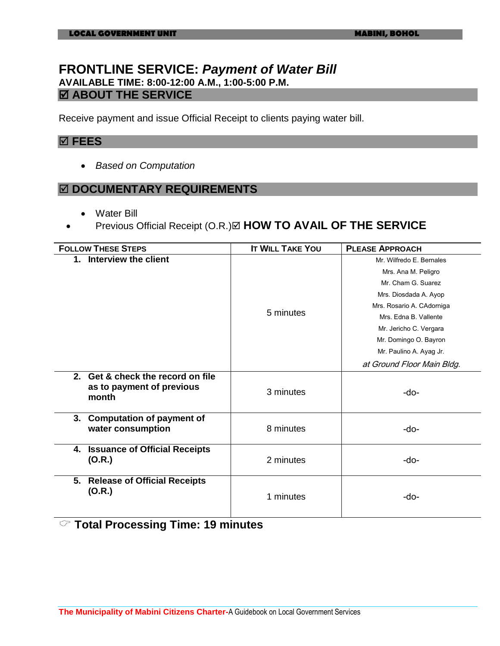### **FRONTLINE SERVICE:** *Payment of Water Bill* **AVAILABLE TIME: 8:00-12:00 A.M., 1:00-5:00 P.M. ABOUT THE SERVICE**

Receive payment and issue Official Receipt to clients paying water bill.

#### **FEES**

*Based on Computation*

#### **DOCUMENTARY REQUIREMENTS**

- Water Bill
- Previous Official Receipt (O.R.) **HOW TO AVAIL OF THE SERVICE**

| <b>FOLLOW THESE STEPS</b>                                               | <b>IT WILL TAKE YOU</b> | <b>PLEASE APPROACH</b>     |
|-------------------------------------------------------------------------|-------------------------|----------------------------|
| 1. Interview the client                                                 |                         | Mr. Wilfredo E. Bernales   |
|                                                                         |                         | Mrs. Ana M. Peligro        |
|                                                                         |                         | Mr. Cham G. Suarez         |
|                                                                         |                         | Mrs. Diosdada A. Ayop      |
|                                                                         |                         | Mrs. Rosario A. CAdorniga  |
|                                                                         | 5 minutes               | Mrs. Edna B. Vallente      |
|                                                                         |                         | Mr. Jericho C. Vergara     |
|                                                                         |                         | Mr. Domingo O. Bayron      |
|                                                                         |                         | Mr. Paulino A. Ayag Jr.    |
|                                                                         |                         | at Ground Floor Main Bldg. |
| 2. Get & check the record on file<br>as to payment of previous<br>month | 3 minutes               | -do-                       |
| <b>Computation of payment of</b><br>3.<br>water consumption             | 8 minutes               | -do-                       |
| <b>Issuance of Official Receipts</b><br>4.<br>(O.R.)                    | 2 minutes               | -do-                       |
| <b>Release of Official Receipts</b><br>5.<br>(O.R.)                     | 1 minutes               | -do-                       |

#### **Total Processing Time: 19 minutes**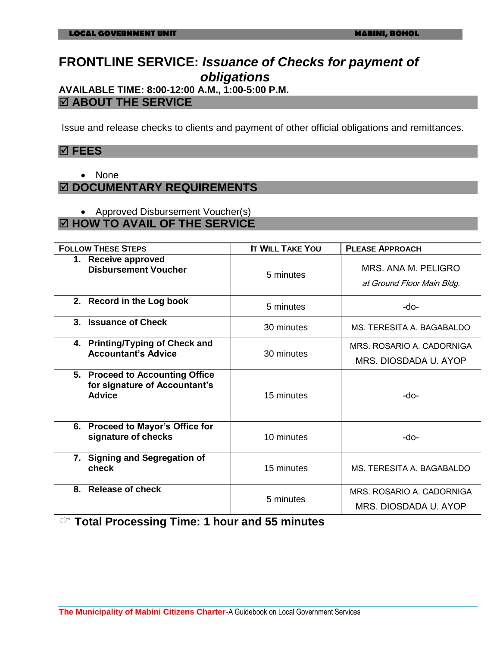## **FRONTLINE SERVICE:** *Issuance of Checks for payment of obligations*

# **AVAILABLE TIME: 8:00-12:00 A.M., 1:00-5:00 P.M.**

### **ABOUT THE SERVICE**

Issue and release checks to clients and payment of other official obligations and remittances.

#### **FEES**

• None

### **DOCUMENTARY REQUIREMENTS**

• Approved Disbursement Voucher(s)

### **HOW TO AVAIL OF THE SERVICE**

| <b>FOLLOW THESE STEPS</b>                                                         | <b>IT WILL TAKE YOU</b> | <b>PLEASE APPROACH</b>                            |
|-----------------------------------------------------------------------------------|-------------------------|---------------------------------------------------|
| 1. Receive approved<br><b>Disbursement Voucher</b>                                | 5 minutes               | MRS. ANA M. PELIGRO<br>at Ground Floor Main Bldg. |
| 2. Record in the Log book                                                         | 5 minutes               | -do-                                              |
| 3. Issuance of Check                                                              | 30 minutes              | MS. TERESITA A. BAGABALDO                         |
| 4. Printing/Typing of Check and<br><b>Accountant's Advice</b>                     | 30 minutes              | MRS. ROSARIO A. CADORNIGA                         |
|                                                                                   |                         | MRS. DIOSDADA U. AYOP                             |
| 5. Proceed to Accounting Office<br>for signature of Accountant's<br><b>Advice</b> | 15 minutes              | -do-                                              |
| 6. Proceed to Mayor's Office for<br>signature of checks                           | 10 minutes              | -do-                                              |
| 7. Signing and Segregation of<br>check                                            | 15 minutes              | MS. TERESITA A. BAGABALDO                         |
| 8. Release of check                                                               |                         | MRS. ROSARIO A. CADORNIGA                         |
|                                                                                   | 5 minutes               | MRS. DIOSDADA U. AYOP                             |

**Total Processing Time: 1 hour and 55 minutes**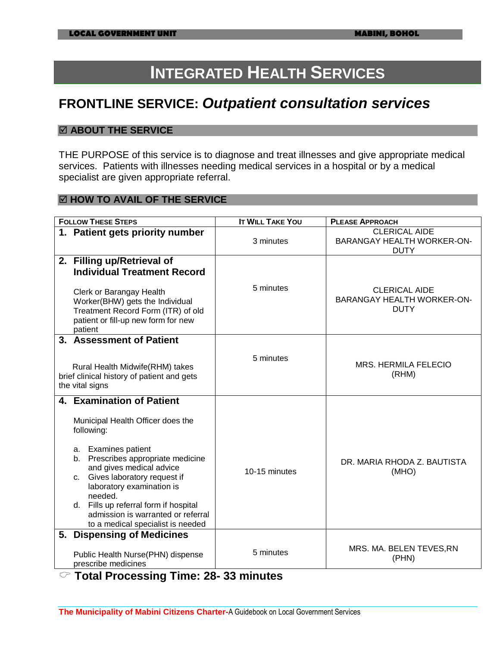# **INTEGRATED HEALTH SERVICES**

# **FRONTLINE SERVICE:** *Outpatient consultation services*

#### **ABOUT THE SERVICE**

THE PURPOSE of this service is to diagnose and treat illnesses and give appropriate medical services. Patients with illnesses needing medical services in a hospital or by a medical specialist are given appropriate referral.

#### **HOW TO AVAIL OF THE SERVICE**

| <b>FOLLOW THESE STEPS</b>                                                                                                            | <b>IT WILL TAKE YOU</b> | <b>PLEASE APPROACH</b>                                                   |
|--------------------------------------------------------------------------------------------------------------------------------------|-------------------------|--------------------------------------------------------------------------|
| 1. Patient gets priority number                                                                                                      | 3 minutes               | <b>CLERICAL AIDE</b><br><b>BARANGAY HEALTH WORKER-ON-</b><br><b>DUTY</b> |
| 2. Filling up/Retrieval of<br><b>Individual Treatment Record</b><br>Clerk or Barangay Health                                         | 5 minutes               | <b>CLERICAL AIDE</b>                                                     |
| Worker(BHW) gets the Individual<br>Treatment Record Form (ITR) of old<br>patient or fill-up new form for new<br>patient              |                         | BARANGAY HEALTH WORKER-ON-<br><b>DUTY</b>                                |
| 3. Assessment of Patient                                                                                                             |                         |                                                                          |
| Rural Health Midwife(RHM) takes<br>brief clinical history of patient and gets<br>the vital signs                                     | 5 minutes               | MRS. HERMILA FELECIO<br>(RHM)                                            |
| 4. Examination of Patient                                                                                                            |                         |                                                                          |
| Municipal Health Officer does the<br>following:                                                                                      |                         |                                                                          |
| <b>Examines patient</b><br>а.<br>Prescribes appropriate medicine<br>b.<br>and gives medical advice<br>c. Gives laboratory request if | 10-15 minutes           | DR. MARIA RHODA Z. BAUTISTA<br>(MHO)                                     |
| laboratory examination is<br>needed.                                                                                                 |                         |                                                                          |
| d. Fills up referral form if hospital<br>admission is warranted or referral<br>to a medical specialist is needed                     |                         |                                                                          |
| 5. Dispensing of Medicines                                                                                                           |                         |                                                                          |
| Public Health Nurse(PHN) dispense<br>prescribe medicines                                                                             | 5 minutes               | MRS. MA. BELEN TEVES, RN<br>(PHN)                                        |

**Total Processing Time: 28- 33 minutes**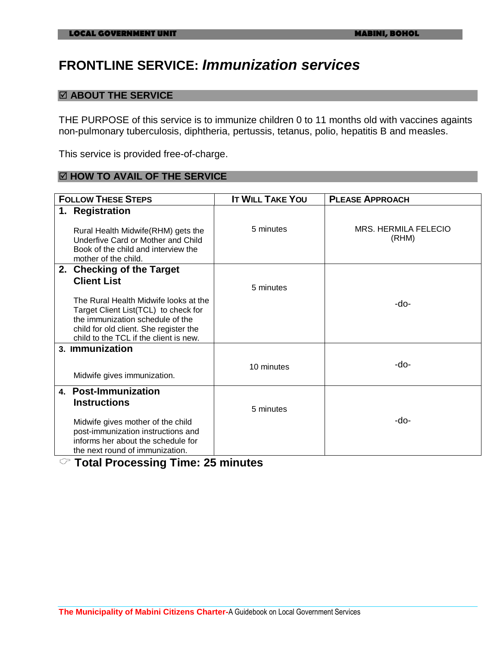# **FRONTLINE SERVICE:** *Immunization services*

#### **ABOUT THE SERVICE**

THE PURPOSE of this service is to immunize children 0 to 11 months old with vaccines againts non-pulmonary tuberculosis, diphtheria, pertussis, tetanus, polio, hepatitis B and measles.

This service is provided free-of-charge.

#### **HOW TO AVAIL OF THE SERVICE**

| <b>FOLLOW THESE STEPS</b>                                                                                                                                                                             | <b>IT WILL TAKE YOU</b> | <b>PLEASE APPROACH</b>               |
|-------------------------------------------------------------------------------------------------------------------------------------------------------------------------------------------------------|-------------------------|--------------------------------------|
| 1. Registration<br>Rural Health Midwife (RHM) gets the<br>Underfive Card or Mother and Child<br>Book of the child and interview the                                                                   | 5 minutes               | <b>MRS. HERMILA FELECIO</b><br>(RHM) |
| mother of the child.<br>2. Checking of the Target                                                                                                                                                     |                         |                                      |
| <b>Client List</b>                                                                                                                                                                                    | 5 minutes               |                                      |
| The Rural Health Midwife looks at the<br>Target Client List(TCL) to check for<br>the immunization schedule of the<br>child for old client. She register the<br>child to the TCL if the client is new. |                         | -do-                                 |
| 3. Immunization                                                                                                                                                                                       |                         |                                      |
| Midwife gives immunization.                                                                                                                                                                           | 10 minutes              | -do-                                 |
| 4. Post-Immunization<br><b>Instructions</b>                                                                                                                                                           | 5 minutes               |                                      |
| Midwife gives mother of the child<br>post-immunization instructions and<br>informs her about the schedule for<br>the next round of immunization.                                                      |                         | -do-                                 |

### **Total Processing Time: 25 minutes**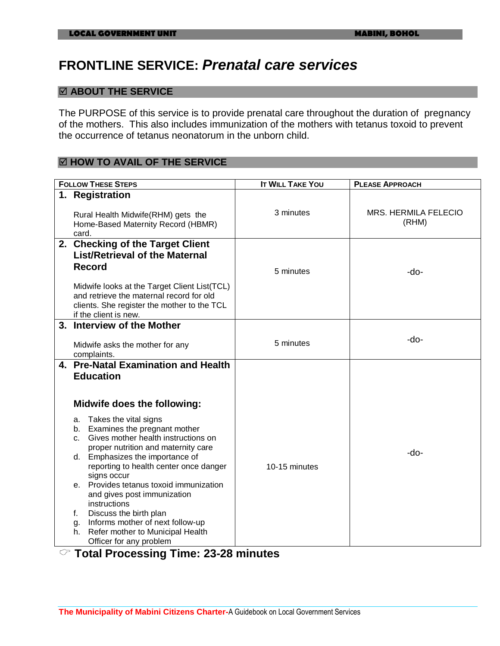# **FRONTLINE SERVICE:** *Prenatal care services*

#### **ABOUT THE SERVICE**

The PURPOSE of this service is to provide prenatal care throughout the duration of pregnancy of the mothers. This also includes immunization of the mothers with tetanus toxoid to prevent the occurrence of tetanus neonatorum in the unborn child.

#### **HOW TO AVAIL OF THE SERVICE**

| <b>FOLLOW THESE STEPS</b>                                                                                                                                                                                                                                                                                                                                                                                             | <b>IT WILL TAKE YOU</b> | <b>PLEASE APPROACH</b>               |
|-----------------------------------------------------------------------------------------------------------------------------------------------------------------------------------------------------------------------------------------------------------------------------------------------------------------------------------------------------------------------------------------------------------------------|-------------------------|--------------------------------------|
| 1. Registration                                                                                                                                                                                                                                                                                                                                                                                                       |                         |                                      |
| Rural Health Midwife(RHM) gets the<br>Home-Based Maternity Record (HBMR)<br>card.                                                                                                                                                                                                                                                                                                                                     | 3 minutes               | <b>MRS. HERMILA FELECIO</b><br>(RHM) |
| 2. Checking of the Target Client<br><b>List/Retrieval of the Maternal</b><br><b>Record</b><br>Midwife looks at the Target Client List(TCL)<br>and retrieve the maternal record for old<br>clients. She register the mother to the TCL<br>if the client is new.                                                                                                                                                        | 5 minutes               | -do-                                 |
| 3. Interview of the Mother<br>Midwife asks the mother for any<br>complaints.                                                                                                                                                                                                                                                                                                                                          | 5 minutes               | -do-                                 |
| 4. Pre-Natal Examination and Health<br><b>Education</b><br>Midwife does the following:<br>Takes the vital signs<br>a.<br>Examines the pregnant mother<br>b.<br>Gives mother health instructions on<br>C.<br>proper nutrition and maternity care<br>d. Emphasizes the importance of<br>reporting to health center once danger<br>signs occur<br>e. Provides tetanus toxoid immunization<br>and gives post immunization | 10-15 minutes           | -do-                                 |
| instructions<br>Discuss the birth plan<br>f.<br>Informs mother of next follow-up<br>g.<br>Refer mother to Municipal Health<br>h.<br>Officer for any problem                                                                                                                                                                                                                                                           |                         |                                      |

### **Total Processing Time: 23-28 minutes**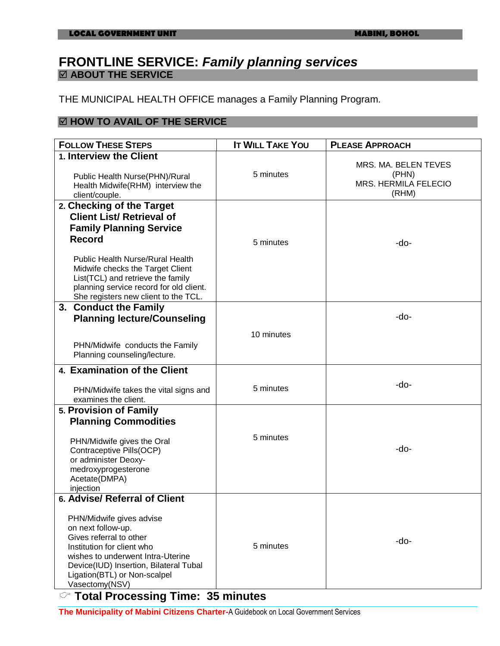#### **FRONTLINE SERVICE:** *Family planning services* **ABOUT THE SERVICE**

THE MUNICIPAL HEALTH OFFICE manages a Family Planning Program.

#### **HOW TO AVAIL OF THE SERVICE**

| <b>FOLLOW THESE STEPS</b>                                                                                                                                                                                                                                                                                               | <b>IT WILL TAKE YOU</b> | <b>PLEASE APPROACH</b>                                         |
|-------------------------------------------------------------------------------------------------------------------------------------------------------------------------------------------------------------------------------------------------------------------------------------------------------------------------|-------------------------|----------------------------------------------------------------|
| 1. Interview the Client<br>Public Health Nurse(PHN)/Rural<br>Health Midwife(RHM) interview the<br>client/couple.                                                                                                                                                                                                        | 5 minutes               | MRS. MA. BELEN TEVES<br>(PHN)<br>MRS. HERMILA FELECIO<br>(RHM) |
| 2. Checking of the Target<br><b>Client List/ Retrieval of</b><br><b>Family Planning Service</b><br><b>Record</b><br><b>Public Health Nurse/Rural Health</b><br>Midwife checks the Target Client<br>List(TCL) and retrieve the family<br>planning service record for old client.<br>She registers new client to the TCL. | 5 minutes               | -do-                                                           |
| 3. Conduct the Family<br><b>Planning lecture/Counseling</b><br>PHN/Midwife conducts the Family<br>Planning counseling/lecture.                                                                                                                                                                                          | 10 minutes              | -do-                                                           |
| 4. Examination of the Client<br>PHN/Midwife takes the vital signs and<br>examines the client.                                                                                                                                                                                                                           | 5 minutes               | -do-                                                           |
| 5. Provision of Family<br><b>Planning Commodities</b><br>PHN/Midwife gives the Oral<br>Contraceptive Pills(OCP)<br>or administer Deoxy-<br>medroxyprogesterone<br>Acetate(DMPA)<br>injection                                                                                                                            | 5 minutes               | -do-                                                           |
| 6. Advise/ Referral of Client<br>PHN/Midwife gives advise<br>on next follow-up.<br>Gives referral to other<br>Institution for client who<br>wishes to underwent Intra-Uterine<br>Device(IUD) Insertion, Bilateral Tubal<br>Ligation(BTL) or Non-scalpel<br>Vasectomy(NSV)                                               | 5 minutes               | -do-                                                           |

**Total Processing Time: 35 minutes**

**The Municipality of Mabini Citizens Charter-**A Guidebook on Local Government Services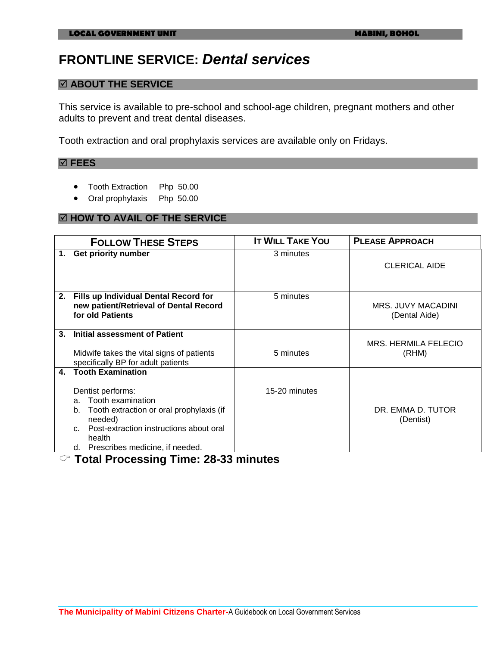# **FRONTLINE SERVICE:** *Dental services*

#### **ABOUT THE SERVICE**

This service is available to pre-school and school-age children, pregnant mothers and other adults to prevent and treat dental diseases.

Tooth extraction and oral prophylaxis services are available only on Fridays.

#### **FEES**

- Tooth Extraction Php 50.00
- Oral prophylaxis Php 50.00

#### **HOW TO AVAIL OF THE SERVICE**

|                | <b>FOLLOW THESE STEPS</b>                                                                                                                                                                                                                             | <b>IT WILL TAKE YOU</b> | <b>PLEASE APPROACH</b>                     |
|----------------|-------------------------------------------------------------------------------------------------------------------------------------------------------------------------------------------------------------------------------------------------------|-------------------------|--------------------------------------------|
| 1.             | Get priority number                                                                                                                                                                                                                                   | 3 minutes               | <b>CLERICAL AIDE</b>                       |
|                | 2. Fills up Individual Dental Record for<br>new patient/Retrieval of Dental Record<br>for old Patients                                                                                                                                                | 5 minutes               | <b>MRS. JUVY MACADINI</b><br>(Dental Aide) |
| 3 <sub>1</sub> | <b>Initial assessment of Patient</b><br>Midwife takes the vital signs of patients<br>specifically BP for adult patients                                                                                                                               | 5 minutes               | MRS. HERMILA FELECIO<br>(RHM)              |
| 4.             | <b>Tooth Examination</b><br>Dentist performs:<br>Tooth examination<br>a.<br>Tooth extraction or oral prophylaxis (if<br>b.<br>needed)<br>Post-extraction instructions about oral<br>C <sub>1</sub><br>health<br>Prescribes medicine, if needed.<br>d. | 15-20 minutes           | DR. EMMA D. TUTOR<br>(Dentist)             |

**Total Processing Time: 28-33 minutes**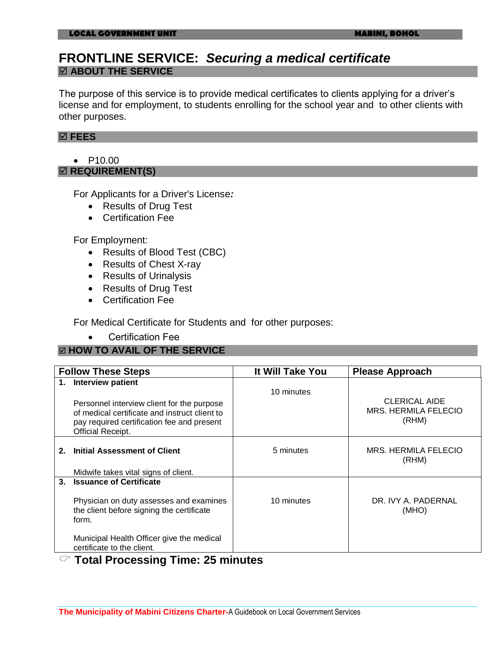### **FRONTLINE SERVICE:** *Securing a medical certificate* **ABOUT THE SERVICE**

The purpose of this service is to provide medical certificates to clients applying for a driver's license and for employment, to students enrolling for the school year and to other clients with other purposes.

#### **FEES**

• P10.00 **<b>Ø REQUIREMENT(S)** 

For Applicants for a Driver's License*:*

- Results of Drug Test
- Certification Fee

For Employment:

- Results of Blood Test (CBC)
- Results of Chest X-ray
- Results of Urinalysis
- Results of Drug Test
- Certification Fee

For Medical Certificate for Students and for other purposes:

Certification Fee

#### **HOW TO AVAIL OF THE SERVICE**

|                | <b>Follow These Steps</b>                                                                                                                                                                                  | It Will Take You | <b>Please Approach</b>                                |
|----------------|------------------------------------------------------------------------------------------------------------------------------------------------------------------------------------------------------------|------------------|-------------------------------------------------------|
| 1.             | Interview patient<br>Personnel interview client for the purpose<br>of medical certificate and instruct client to<br>pay required certification fee and present<br>Official Receipt.                        | 10 minutes       | <b>CLERICAL AIDE</b><br>MRS. HERMILA FELECIO<br>(RHM) |
|                | Initial Assessment of Client<br>Midwife takes vital signs of client.                                                                                                                                       | 5 minutes        | MRS. HERMILA FELECIO<br>(RHM)                         |
| 3 <sub>z</sub> | <b>Issuance of Certificate</b><br>Physician on duty assesses and examines<br>the client before signing the certificate<br>form.<br>Municipal Health Officer give the medical<br>certificate to the client. | 10 minutes       | DR. IVY A. PADERNAL<br>(MHO)                          |

#### **Total Processing Time: 25 minutes**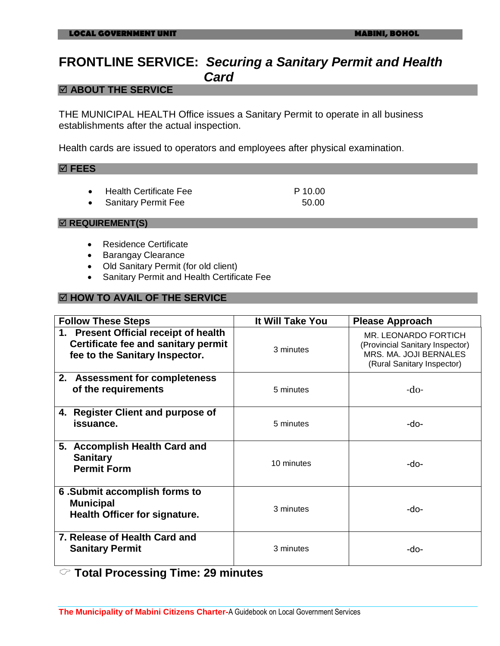### **FRONTLINE SERVICE:** *Securing a Sanitary Permit and Health Card*

#### **ABOUT THE SERVICE**

THE MUNICIPAL HEALTH Office issues a Sanitary Permit to operate in all business establishments after the actual inspection.

Health cards are issued to operators and employees after physical examination.

#### **FEES**

- Health Certificate Fee P 10.00
- Sanitary Permit Fee 50.00

#### $⊓$  **REQUIREMENT(S)**

- **•** Residence Certificate
- Barangay Clearance
- Old Sanitary Permit (for old client)
- Sanitary Permit and Health Certificate Fee

#### **HOW TO AVAIL OF THE SERVICE**

| <b>Follow These Steps</b>                                                                                      | It Will Take You | <b>Please Approach</b>                                                                                          |
|----------------------------------------------------------------------------------------------------------------|------------------|-----------------------------------------------------------------------------------------------------------------|
| 1. Present Official receipt of health<br>Certificate fee and sanitary permit<br>fee to the Sanitary Inspector. | 3 minutes        | MR. LEONARDO FORTICH<br>(Provincial Sanitary Inspector)<br>MRS. MA. JOJI BERNALES<br>(Rural Sanitary Inspector) |
| 2. Assessment for completeness<br>of the requirements                                                          | 5 minutes        | -do-                                                                                                            |
| 4. Register Client and purpose of<br>issuance.                                                                 | 5 minutes        | -do-                                                                                                            |
| 5. Accomplish Health Card and<br><b>Sanitary</b><br><b>Permit Form</b>                                         | 10 minutes       | -do-                                                                                                            |
| 6. Submit accomplish forms to<br><b>Municipal</b><br>Health Officer for signature.                             | 3 minutes        | -do-                                                                                                            |
| 7. Release of Health Card and<br><b>Sanitary Permit</b>                                                        | 3 minutes        | -do-                                                                                                            |

# **Total Processing Time: 29 minutes**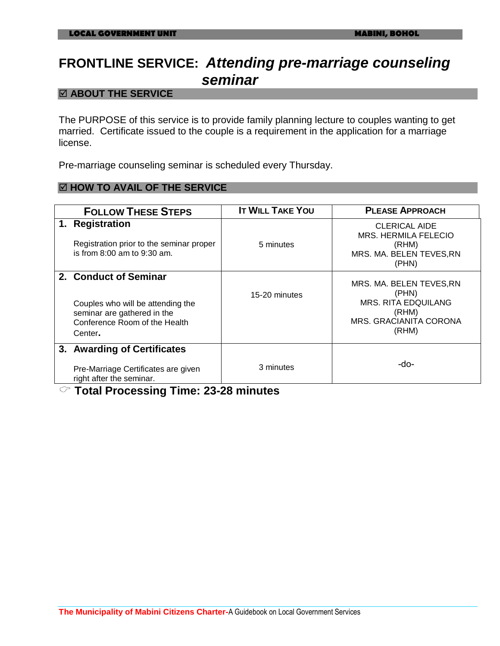# **FRONTLINE SERVICE:** *Attending pre-marriage counseling seminar*

#### **ABOUT THE SERVICE**

The PURPOSE of this service is to provide family planning lecture to couples wanting to get married. Certificate issued to the couple is a requirement in the application for a marriage license.

Pre-marriage counseling seminar is scheduled every Thursday.

#### **HOW TO AVAIL OF THE SERVICE**

| <b>FOLLOW THESE STEPS</b>                                                                                                             | <b>IT WILL TAKE YOU</b> | <b>PLEASE APPROACH</b>                                                                                      |
|---------------------------------------------------------------------------------------------------------------------------------------|-------------------------|-------------------------------------------------------------------------------------------------------------|
| 1. Registration<br>Registration prior to the seminar proper<br>is from 8:00 am to 9:30 am.                                            | 5 minutes               | <b>CLERICAL AIDE</b><br><b>MRS. HERMILA FELECIO</b><br>(RHM)<br>MRS. MA. BELEN TEVES, RN<br>(PHN)           |
| 2. Conduct of Seminar<br>Couples who will be attending the<br>seminar are gathered in the<br>Conference Room of the Health<br>Center. | 15-20 minutes           | MRS. MA. BELEN TEVES, RN<br>(PHN)<br><b>MRS. RITA EDQUILANG</b><br>(RHM)<br>MRS. GRACIANITA CORONA<br>(RHM) |
| 3. Awarding of Certificates<br>Pre-Marriage Certificates are given<br>right after the seminar.                                        | 3 minutes               | -do-                                                                                                        |

#### **Total Processing Time: 23-28 minutes**